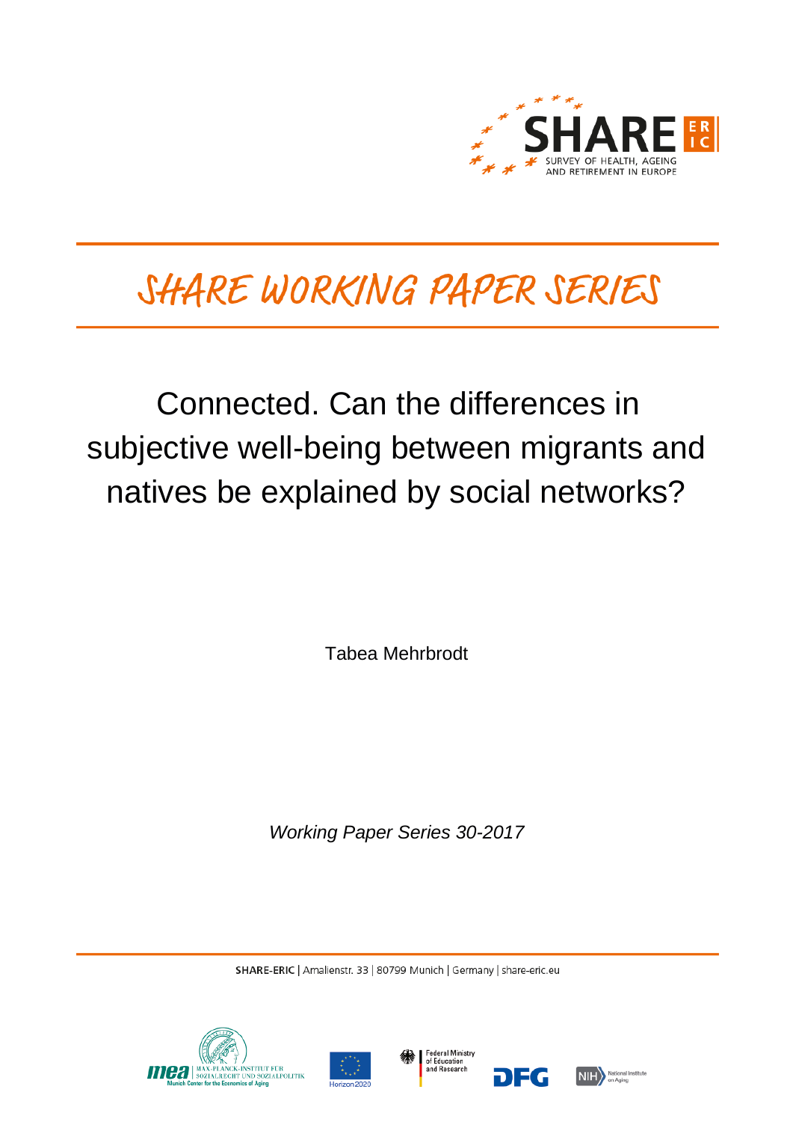

# SHARE WORKING PAPER SERIES

# Connected. Can the differences in subjective well-being between migrants and natives be explained by social networks?

Tabea Mehrbrodt

*Working Paper Series 30-2017*

SHARE-ERIC | Amalienstr. 33 | 80799 Munich | Germany | share-eric.eu







DEG

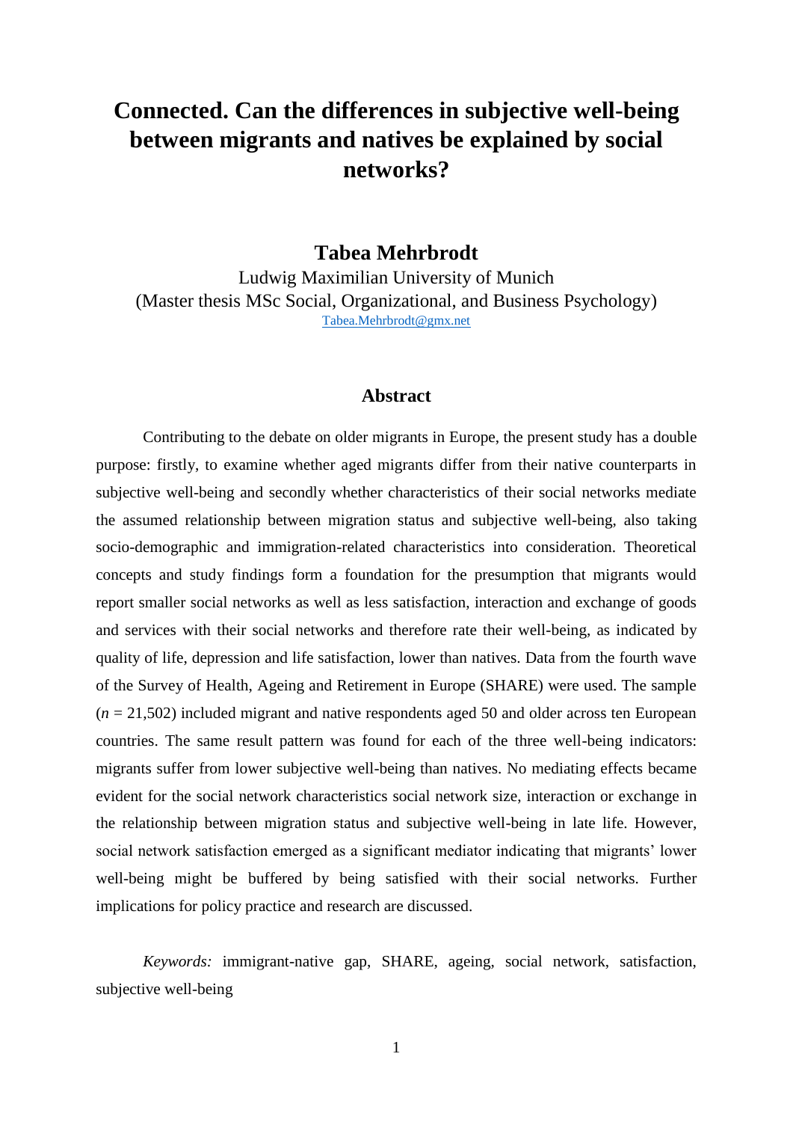# **Connected. Can the differences in subjective well-being between migrants and natives be explained by social networks?**

## **Tabea Mehrbrodt**

Ludwig Maximilian University of Munich (Master thesis MSc Social, Organizational, and Business Psychology) [Tabea.Mehrbrodt@gmx.net](mailto:Tabea.Mehrbrodt@gmx.net?subject=SHARE%20Working%20Paper)

### **Abstract**

Contributing to the debate on older migrants in Europe, the present study has a double purpose: firstly, to examine whether aged migrants differ from their native counterparts in subjective well-being and secondly whether characteristics of their social networks mediate the assumed relationship between migration status and subjective well-being, also taking socio-demographic and immigration-related characteristics into consideration. Theoretical concepts and study findings form a foundation for the presumption that migrants would report smaller social networks as well as less satisfaction, interaction and exchange of goods and services with their social networks and therefore rate their well-being, as indicated by quality of life, depression and life satisfaction, lower than natives. Data from the fourth wave of the Survey of Health, Ageing and Retirement in Europe (SHARE) were used. The sample  $(n = 21,502)$  included migrant and native respondents aged 50 and older across ten European countries. The same result pattern was found for each of the three well-being indicators: migrants suffer from lower subjective well-being than natives. No mediating effects became evident for the social network characteristics social network size, interaction or exchange in the relationship between migration status and subjective well-being in late life. However, social network satisfaction emerged as a significant mediator indicating that migrants' lower well-being might be buffered by being satisfied with their social networks. Further implications for policy practice and research are discussed.

*Keywords:* immigrant-native gap, SHARE, ageing, social network, satisfaction, subjective well-being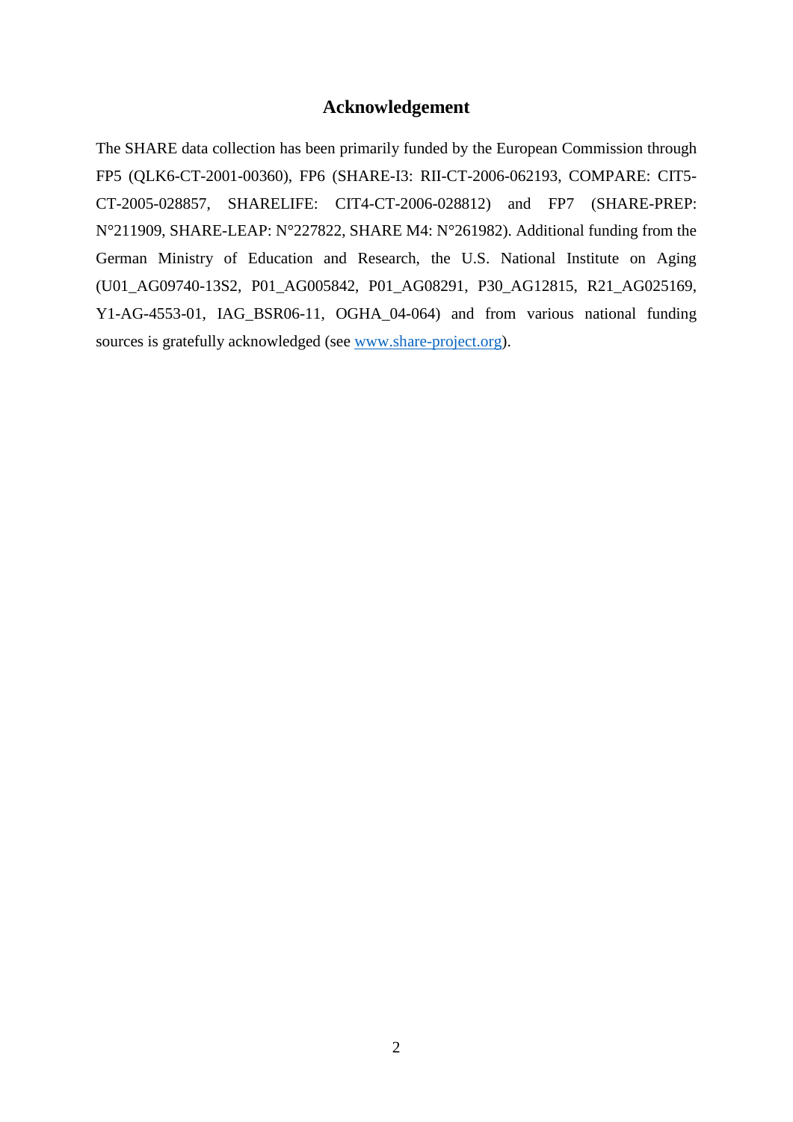## **Acknowledgement**

The SHARE data collection has been primarily funded by the European Commission through FP5 (QLK6-CT-2001-00360), FP6 (SHARE-I3: RII-CT-2006-062193, COMPARE: CIT5- CT-2005-028857, SHARELIFE: CIT4-CT-2006-028812) and FP7 (SHARE-PREP: N°211909, SHARE-LEAP: N°227822, SHARE M4: N°261982). Additional funding from the German Ministry of Education and Research, the U.S. National Institute on Aging (U01\_AG09740-13S2, P01\_AG005842, P01\_AG08291, P30\_AG12815, R21\_AG025169, Y1-AG-4553-01, IAG BSR06-11, OGHA 04-064) and from various national funding sources is gratefully acknowledged (see [www.share-project.org\)](http://www.share-project.org/).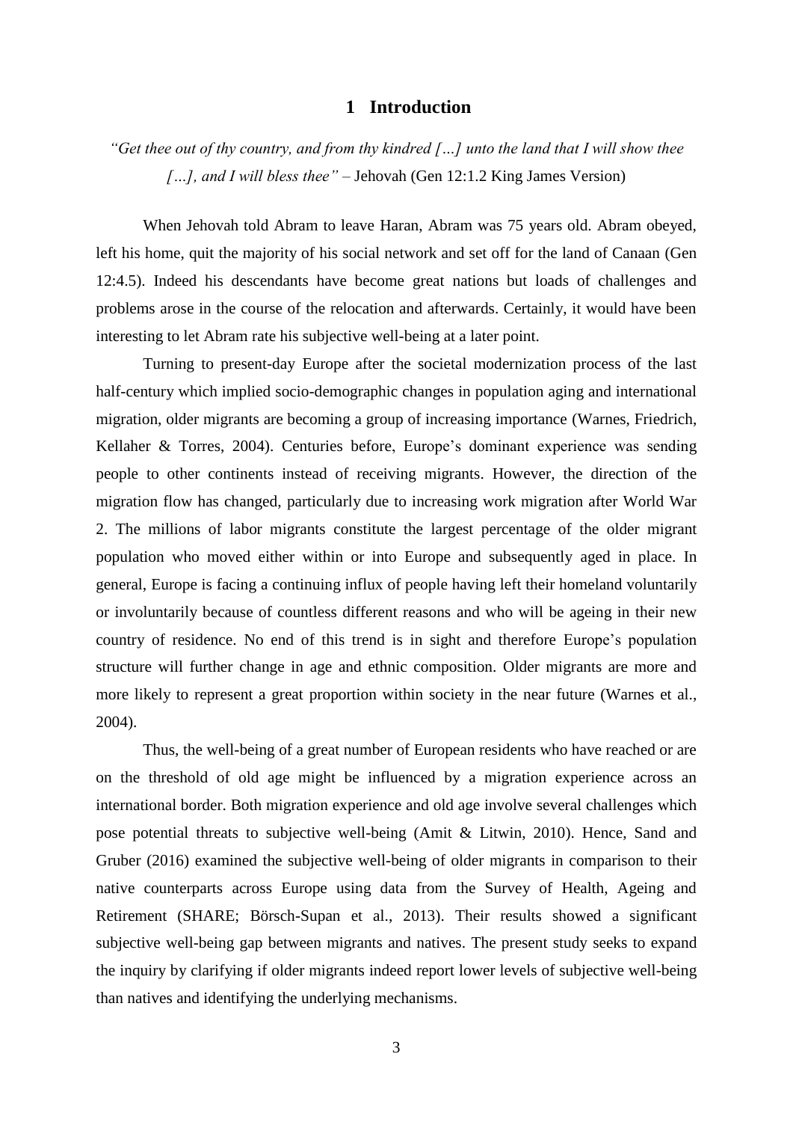#### **1 Introduction**

*"Get thee out of thy country, and from thy kindred […] unto the land that I will show thee […], and I will bless thee"* – Jehovah (Gen 12:1.2 King James Version)

When Jehovah told Abram to leave Haran, Abram was 75 years old. Abram obeyed, left his home, quit the majority of his social network and set off for the land of Canaan (Gen 12:4.5). Indeed his descendants have become great nations but loads of challenges and problems arose in the course of the relocation and afterwards. Certainly, it would have been interesting to let Abram rate his subjective well-being at a later point.

Turning to present-day Europe after the societal modernization process of the last half-century which implied socio-demographic changes in population aging and international migration, older migrants are becoming a group of increasing importance (Warnes, Friedrich, Kellaher & Torres, 2004). Centuries before, Europe's dominant experience was sending people to other continents instead of receiving migrants. However, the direction of the migration flow has changed, particularly due to increasing work migration after World War 2. The millions of labor migrants constitute the largest percentage of the older migrant population who moved either within or into Europe and subsequently aged in place. In general, Europe is facing a continuing influx of people having left their homeland voluntarily or involuntarily because of countless different reasons and who will be ageing in their new country of residence. No end of this trend is in sight and therefore Europe's population structure will further change in age and ethnic composition. Older migrants are more and more likely to represent a great proportion within society in the near future (Warnes et al., 2004).

Thus, the well-being of a great number of European residents who have reached or are on the threshold of old age might be influenced by a migration experience across an international border. Both migration experience and old age involve several challenges which pose potential threats to subjective well-being (Amit & Litwin, 2010). Hence, Sand and Gruber (2016) examined the subjective well-being of older migrants in comparison to their native counterparts across Europe using data from the Survey of Health, Ageing and Retirement (SHARE; Börsch-Supan et al., 2013). Their results showed a significant subjective well-being gap between migrants and natives. The present study seeks to expand the inquiry by clarifying if older migrants indeed report lower levels of subjective well-being than natives and identifying the underlying mechanisms.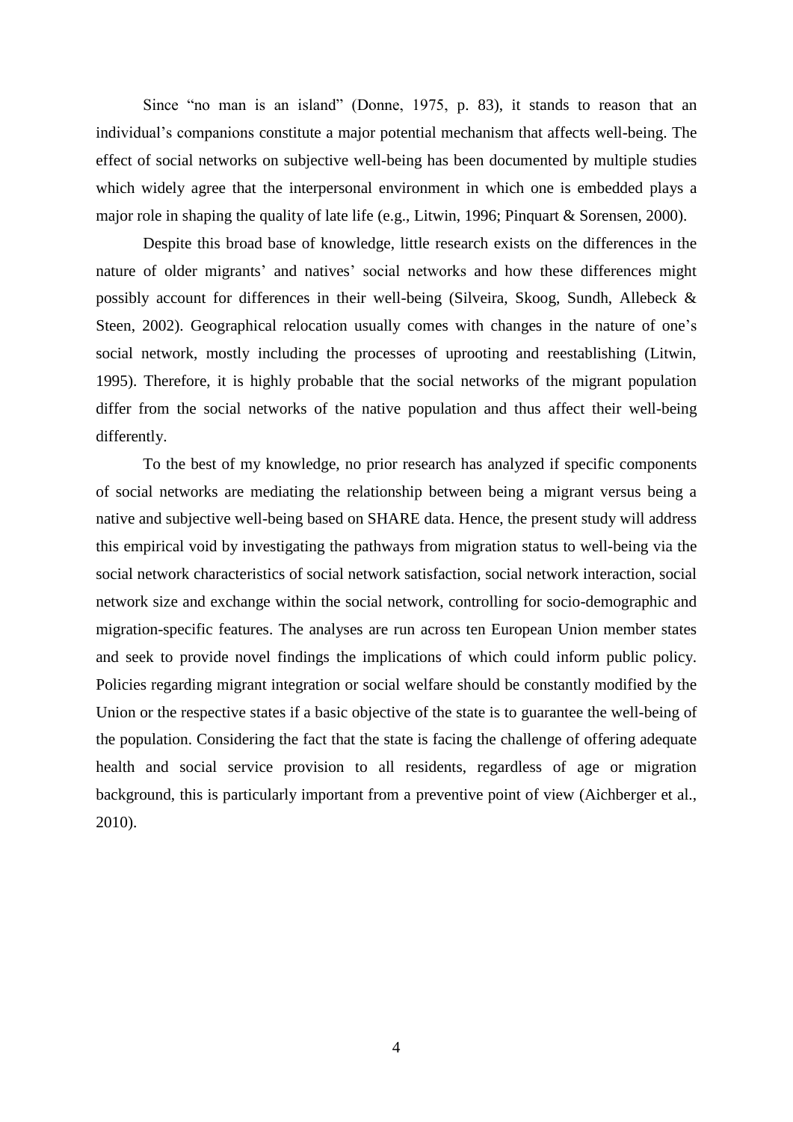Since "no man is an island" (Donne, 1975, p. 83), it stands to reason that an individual's companions constitute a major potential mechanism that affects well-being. The effect of social networks on subjective well-being has been documented by multiple studies which widely agree that the interpersonal environment in which one is embedded plays a major role in shaping the quality of late life (e.g., Litwin, 1996; Pinquart & Sorensen, 2000).

Despite this broad base of knowledge, little research exists on the differences in the nature of older migrants' and natives' social networks and how these differences might possibly account for differences in their well-being (Silveira, Skoog, Sundh, Allebeck & Steen, 2002). Geographical relocation usually comes with changes in the nature of one's social network, mostly including the processes of uprooting and reestablishing (Litwin, 1995). Therefore, it is highly probable that the social networks of the migrant population differ from the social networks of the native population and thus affect their well-being differently.

To the best of my knowledge, no prior research has analyzed if specific components of social networks are mediating the relationship between being a migrant versus being a native and subjective well-being based on SHARE data. Hence, the present study will address this empirical void by investigating the pathways from migration status to well-being via the social network characteristics of social network satisfaction, social network interaction, social network size and exchange within the social network, controlling for socio-demographic and migration-specific features. The analyses are run across ten European Union member states and seek to provide novel findings the implications of which could inform public policy. Policies regarding migrant integration or social welfare should be constantly modified by the Union or the respective states if a basic objective of the state is to guarantee the well-being of the population. Considering the fact that the state is facing the challenge of offering adequate health and social service provision to all residents, regardless of age or migration background, this is particularly important from a preventive point of view (Aichberger et al., 2010).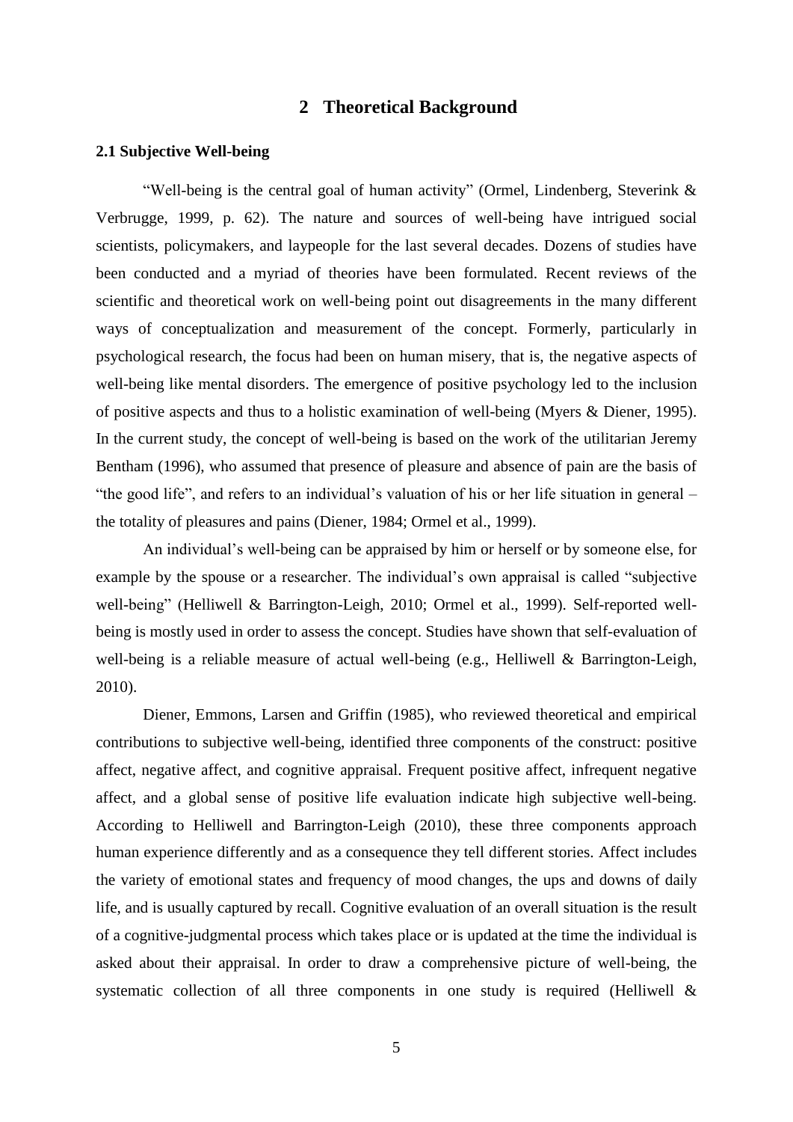## **2 Theoretical Background**

#### **2.1 Subjective Well-being**

"Well-being is the central goal of human activity" (Ormel, Lindenberg, Steverink & Verbrugge, 1999, p. 62). The nature and sources of well-being have intrigued social scientists, policymakers, and laypeople for the last several decades. Dozens of studies have been conducted and a myriad of theories have been formulated. Recent reviews of the scientific and theoretical work on well-being point out disagreements in the many different ways of conceptualization and measurement of the concept. Formerly, particularly in psychological research, the focus had been on human misery, that is, the negative aspects of well-being like mental disorders. The emergence of positive psychology led to the inclusion of positive aspects and thus to a holistic examination of well-being (Myers & Diener, 1995). In the current study, the concept of well-being is based on the work of the utilitarian Jeremy Bentham (1996), who assumed that presence of pleasure and absence of pain are the basis of "the good life", and refers to an individual's valuation of his or her life situation in general – the totality of pleasures and pains (Diener, 1984; Ormel et al., 1999).

An individual's well-being can be appraised by him or herself or by someone else, for example by the spouse or a researcher. The individual's own appraisal is called "subjective well-being" (Helliwell & Barrington-Leigh, 2010; Ormel et al., 1999). Self-reported wellbeing is mostly used in order to assess the concept. Studies have shown that self-evaluation of well-being is a reliable measure of actual well-being (e.g., Helliwell & Barrington-Leigh, 2010).

Diener, Emmons, Larsen and Griffin (1985), who reviewed theoretical and empirical contributions to subjective well-being, identified three components of the construct: positive affect, negative affect, and cognitive appraisal. Frequent positive affect, infrequent negative affect, and a global sense of positive life evaluation indicate high subjective well-being. According to Helliwell and Barrington-Leigh (2010), these three components approach human experience differently and as a consequence they tell different stories. Affect includes the variety of emotional states and frequency of mood changes, the ups and downs of daily life, and is usually captured by recall. Cognitive evaluation of an overall situation is the result of a cognitive-judgmental process which takes place or is updated at the time the individual is asked about their appraisal. In order to draw a comprehensive picture of well-being, the systematic collection of all three components in one study is required (Helliwell &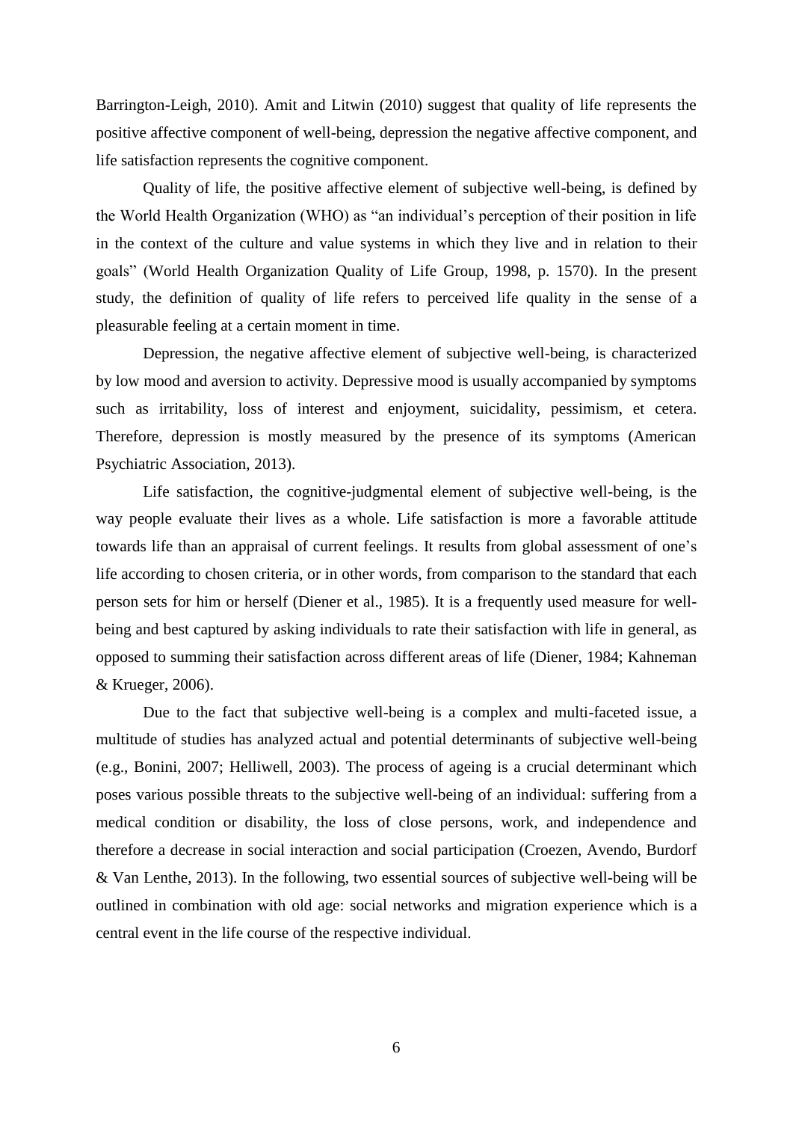Barrington-Leigh, 2010). Amit and Litwin (2010) suggest that quality of life represents the positive affective component of well-being, depression the negative affective component, and life satisfaction represents the cognitive component.

Quality of life, the positive affective element of subjective well-being, is defined by the World Health Organization (WHO) as "an individual's perception of their position in life in the context of the culture and value systems in which they live and in relation to their goals" (World Health Organization Quality of Life Group, 1998, p. 1570). In the present study, the definition of quality of life refers to perceived life quality in the sense of a pleasurable feeling at a certain moment in time.

Depression, the negative affective element of subjective well-being, is characterized by low mood and aversion to activity. Depressive mood is usually accompanied by symptoms such as irritability, loss of interest and enjoyment, suicidality, pessimism, et cetera. Therefore, depression is mostly measured by the presence of its symptoms (American Psychiatric Association, 2013).

Life satisfaction, the cognitive-judgmental element of subjective well-being, is the way people evaluate their lives as a whole. Life satisfaction is more a favorable attitude towards life than an appraisal of current feelings. It results from global assessment of one's life according to chosen criteria, or in other words, from comparison to the standard that each person sets for him or herself (Diener et al., 1985). It is a frequently used measure for wellbeing and best captured by asking individuals to rate their satisfaction with life in general, as opposed to summing their satisfaction across different areas of life (Diener, 1984; Kahneman & Krueger, 2006).

Due to the fact that subjective well-being is a complex and multi-faceted issue, a multitude of studies has analyzed actual and potential determinants of subjective well-being (e.g., Bonini, 2007; Helliwell, 2003). The process of ageing is a crucial determinant which poses various possible threats to the subjective well-being of an individual: suffering from a medical condition or disability, the loss of close persons, work, and independence and therefore a decrease in social interaction and social participation (Croezen, Avendo, Burdorf & Van Lenthe, 2013). In the following, two essential sources of subjective well-being will be outlined in combination with old age: social networks and migration experience which is a central event in the life course of the respective individual.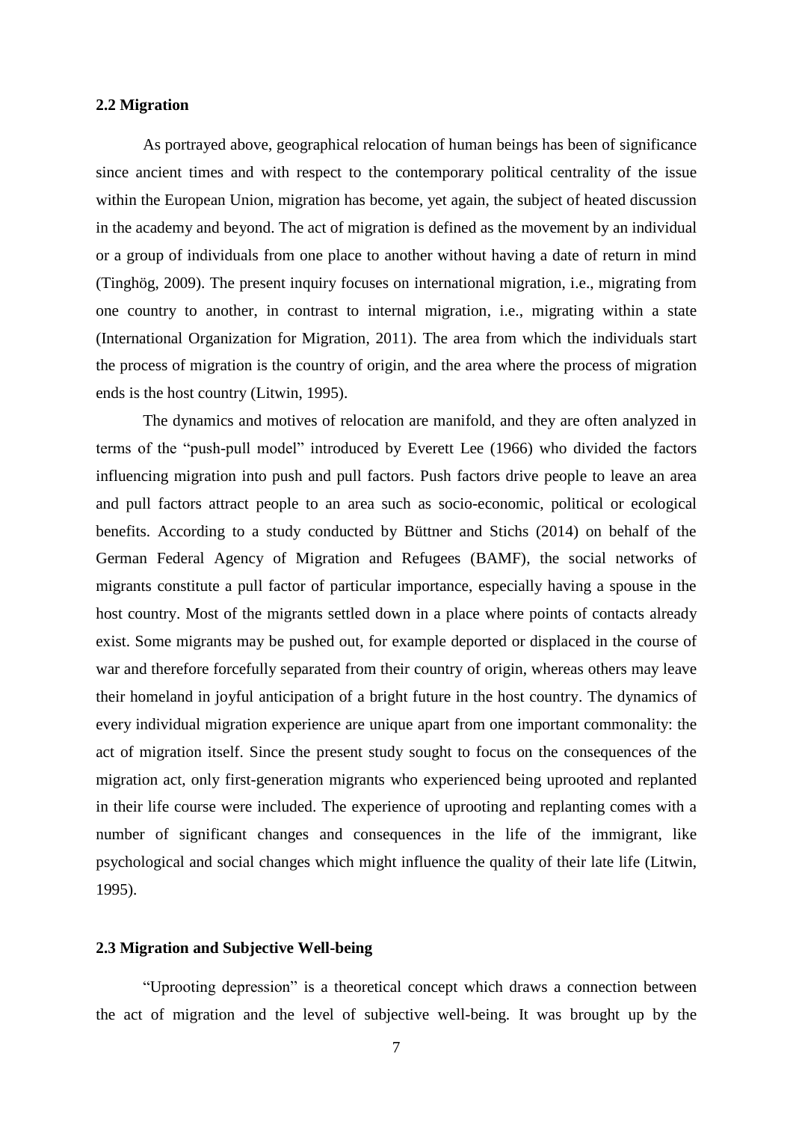#### **2.2 Migration**

As portrayed above, geographical relocation of human beings has been of significance since ancient times and with respect to the contemporary political centrality of the issue within the European Union, migration has become, yet again, the subject of heated discussion in the academy and beyond. The act of migration is defined as the movement by an individual or a group of individuals from one place to another without having a date of return in mind (Tinghög, 2009). The present inquiry focuses on international migration, i.e., migrating from one country to another, in contrast to internal migration, i.e., migrating within a state (International Organization for Migration, 2011). The area from which the individuals start the process of migration is the country of origin, and the area where the process of migration ends is the host country (Litwin, 1995).

The dynamics and motives of relocation are manifold, and they are often analyzed in terms of the "push-pull model" introduced by Everett Lee (1966) who divided the factors influencing migration into push and pull factors. Push factors drive people to leave an area and pull factors attract people to an area such as socio-economic, political or ecological benefits. According to a study conducted by Büttner and Stichs (2014) on behalf of the German Federal Agency of Migration and Refugees (BAMF), the social networks of migrants constitute a pull factor of particular importance, especially having a spouse in the host country. Most of the migrants settled down in a place where points of contacts already exist. Some migrants may be pushed out, for example deported or displaced in the course of war and therefore forcefully separated from their country of origin, whereas others may leave their homeland in joyful anticipation of a bright future in the host country. The dynamics of every individual migration experience are unique apart from one important commonality: the act of migration itself. Since the present study sought to focus on the consequences of the migration act, only first-generation migrants who experienced being uprooted and replanted in their life course were included. The experience of uprooting and replanting comes with a number of significant changes and consequences in the life of the immigrant, like psychological and social changes which might influence the quality of their late life (Litwin, 1995).

#### **2.3 Migration and Subjective Well-being**

"Uprooting depression" is a theoretical concept which draws a connection between the act of migration and the level of subjective well-being. It was brought up by the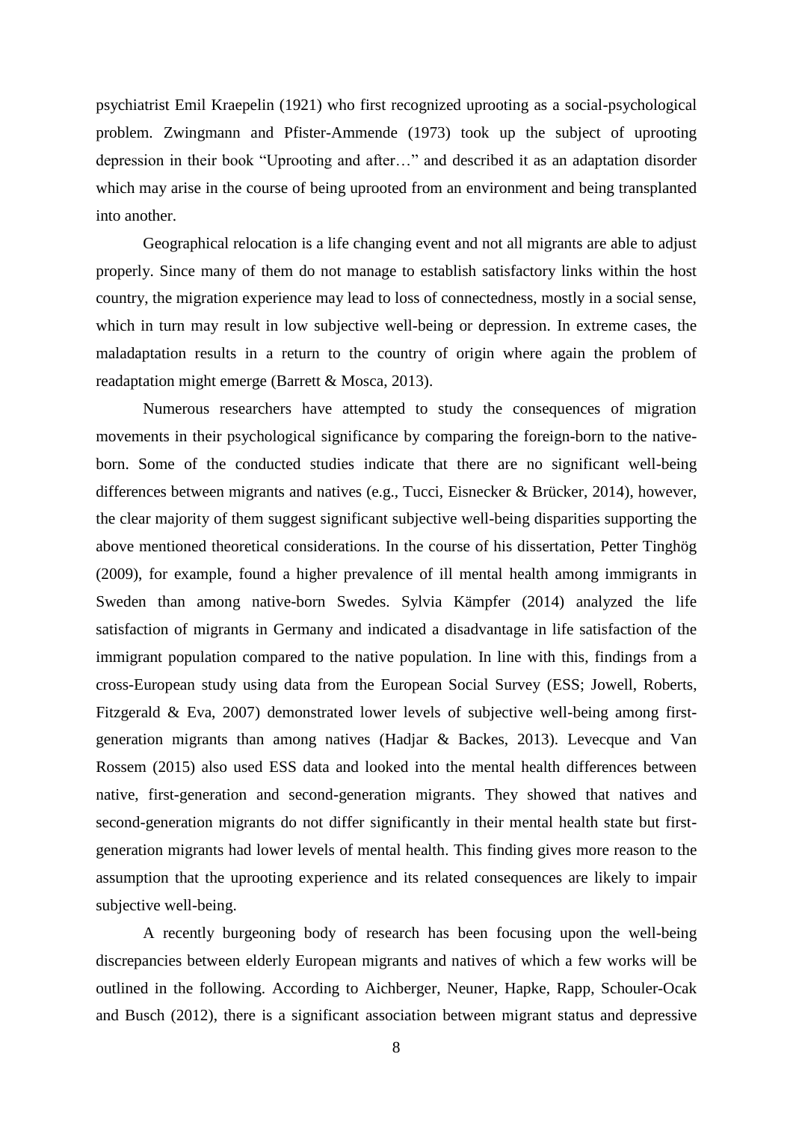psychiatrist Emil Kraepelin (1921) who first recognized uprooting as a social-psychological problem. Zwingmann and Pfister-Ammende (1973) took up the subject of uprooting depression in their book "Uprooting and after…" and described it as an adaptation disorder which may arise in the course of being uprooted from an environment and being transplanted into another.

Geographical relocation is a life changing event and not all migrants are able to adjust properly. Since many of them do not manage to establish satisfactory links within the host country, the migration experience may lead to loss of connectedness, mostly in a social sense, which in turn may result in low subjective well-being or depression. In extreme cases, the maladaptation results in a return to the country of origin where again the problem of readaptation might emerge (Barrett & Mosca, 2013).

Numerous researchers have attempted to study the consequences of migration movements in their psychological significance by comparing the foreign-born to the nativeborn. Some of the conducted studies indicate that there are no significant well-being differences between migrants and natives (e.g., Tucci, Eisnecker & Brücker, 2014), however, the clear majority of them suggest significant subjective well-being disparities supporting the above mentioned theoretical considerations. In the course of his dissertation, Petter Tinghög (2009), for example, found a higher prevalence of ill mental health among immigrants in Sweden than among native-born Swedes. Sylvia Kämpfer (2014) analyzed the life satisfaction of migrants in Germany and indicated a disadvantage in life satisfaction of the immigrant population compared to the native population. In line with this, findings from a cross-European study using data from the European Social Survey (ESS; Jowell, Roberts, Fitzgerald & Eva, 2007) demonstrated lower levels of subjective well-being among firstgeneration migrants than among natives (Hadjar & Backes, 2013). Levecque and Van Rossem (2015) also used ESS data and looked into the mental health differences between native, first-generation and second-generation migrants. They showed that natives and second-generation migrants do not differ significantly in their mental health state but firstgeneration migrants had lower levels of mental health. This finding gives more reason to the assumption that the uprooting experience and its related consequences are likely to impair subjective well-being.

A recently burgeoning body of research has been focusing upon the well-being discrepancies between elderly European migrants and natives of which a few works will be outlined in the following. According to Aichberger, Neuner, Hapke, Rapp, Schouler-Ocak and Busch (2012), there is a significant association between migrant status and depressive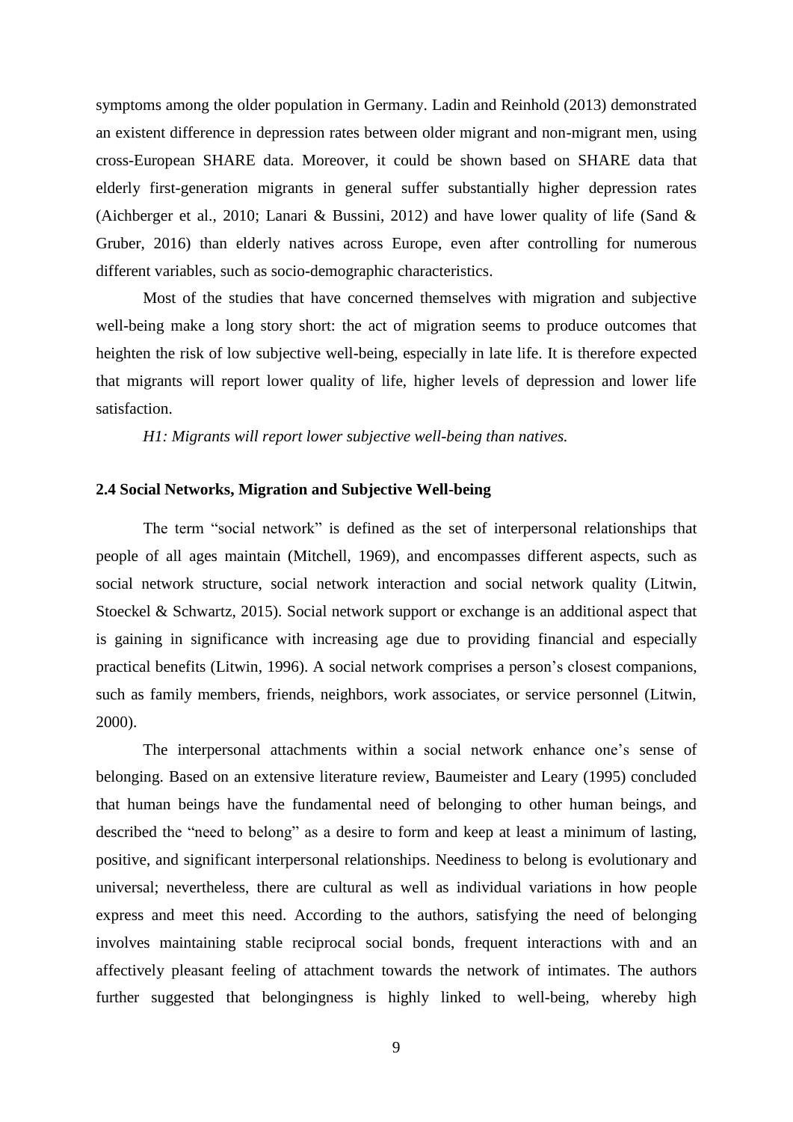symptoms among the older population in Germany. Ladin and Reinhold (2013) demonstrated an existent difference in depression rates between older migrant and non-migrant men, using cross-European SHARE data. Moreover, it could be shown based on SHARE data that elderly first-generation migrants in general suffer substantially higher depression rates (Aichberger et al., 2010; Lanari & Bussini, 2012) and have lower quality of life (Sand & Gruber, 2016) than elderly natives across Europe, even after controlling for numerous different variables, such as socio-demographic characteristics.

Most of the studies that have concerned themselves with migration and subjective well-being make a long story short: the act of migration seems to produce outcomes that heighten the risk of low subjective well-being, especially in late life. It is therefore expected that migrants will report lower quality of life, higher levels of depression and lower life satisfaction.

*H1: Migrants will report lower subjective well-being than natives.*

#### **2.4 Social Networks, Migration and Subjective Well-being**

The term "social network" is defined as the set of interpersonal relationships that people of all ages maintain (Mitchell, 1969), and encompasses different aspects, such as social network structure, social network interaction and social network quality (Litwin, Stoeckel & Schwartz, 2015). Social network support or exchange is an additional aspect that is gaining in significance with increasing age due to providing financial and especially practical benefits (Litwin, 1996). A social network comprises a person's closest companions, such as family members, friends, neighbors, work associates, or service personnel (Litwin, 2000).

The interpersonal attachments within a social network enhance one's sense of belonging. Based on an extensive literature review, Baumeister and Leary (1995) concluded that human beings have the fundamental need of belonging to other human beings, and described the "need to belong" as a desire to form and keep at least a minimum of lasting, positive, and significant interpersonal relationships. Neediness to belong is evolutionary and universal; nevertheless, there are cultural as well as individual variations in how people express and meet this need. According to the authors, satisfying the need of belonging involves maintaining stable reciprocal social bonds, frequent interactions with and an affectively pleasant feeling of attachment towards the network of intimates. The authors further suggested that belongingness is highly linked to well-being, whereby high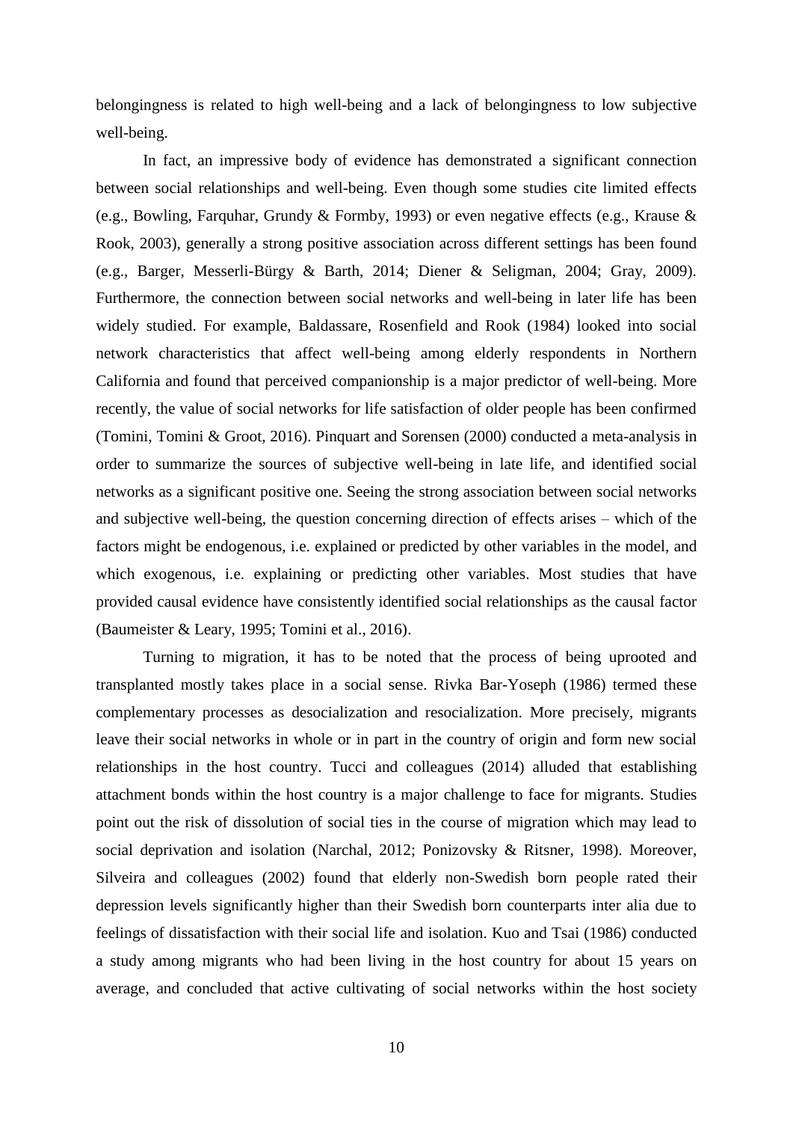belongingness is related to high well-being and a lack of belongingness to low subjective well-being.

In fact, an impressive body of evidence has demonstrated a significant connection between social relationships and well-being. Even though some studies cite limited effects (e.g., Bowling, Farquhar, Grundy & Formby, 1993) or even negative effects (e.g., Krause & Rook, 2003), generally a strong positive association across different settings has been found (e.g., Barger, Messerli-Bürgy & Barth, 2014; Diener & Seligman, 2004; Gray, 2009). Furthermore, the connection between social networks and well-being in later life has been widely studied. For example, Baldassare, Rosenfield and Rook (1984) looked into social network characteristics that affect well-being among elderly respondents in Northern California and found that perceived companionship is a major predictor of well-being. More recently, the value of social networks for life satisfaction of older people has been confirmed (Tomini, Tomini & Groot, 2016). Pinquart and Sorensen (2000) conducted a meta-analysis in order to summarize the sources of subjective well-being in late life, and identified social networks as a significant positive one. Seeing the strong association between social networks and subjective well-being, the question concerning direction of effects arises – which of the factors might be endogenous, i.e. explained or predicted by other variables in the model, and which exogenous, i.e. explaining or predicting other variables. Most studies that have provided causal evidence have consistently identified social relationships as the causal factor (Baumeister & Leary, 1995; Tomini et al., 2016).

Turning to migration, it has to be noted that the process of being uprooted and transplanted mostly takes place in a social sense. Rivka Bar-Yoseph (1986) termed these complementary processes as desocialization and resocialization. More precisely, migrants leave their social networks in whole or in part in the country of origin and form new social relationships in the host country. Tucci and colleagues (2014) alluded that establishing attachment bonds within the host country is a major challenge to face for migrants. Studies point out the risk of dissolution of social ties in the course of migration which may lead to social deprivation and isolation (Narchal, 2012; Ponizovsky & Ritsner, 1998). Moreover, Silveira and colleagues (2002) found that elderly non-Swedish born people rated their depression levels significantly higher than their Swedish born counterparts inter alia due to feelings of dissatisfaction with their social life and isolation. Kuo and Tsai (1986) conducted a study among migrants who had been living in the host country for about 15 years on average, and concluded that active cultivating of social networks within the host society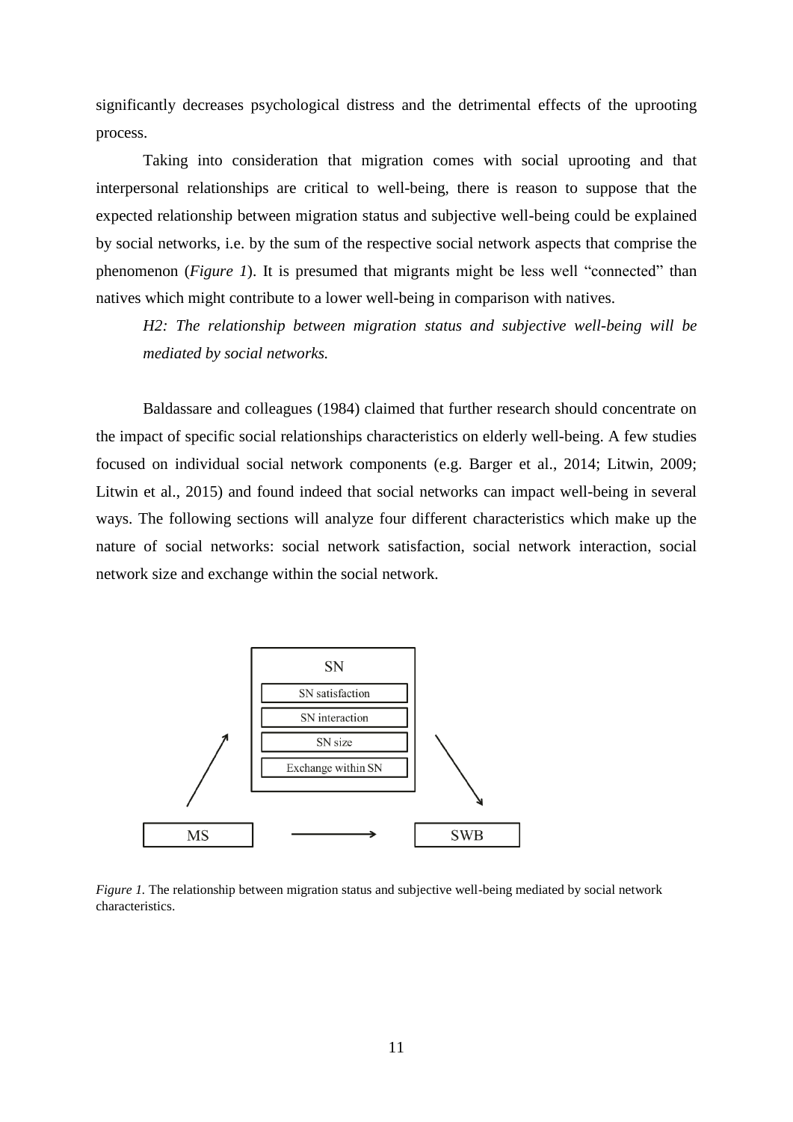significantly decreases psychological distress and the detrimental effects of the uprooting process.

Taking into consideration that migration comes with social uprooting and that interpersonal relationships are critical to well-being, there is reason to suppose that the expected relationship between migration status and subjective well-being could be explained by social networks, i.e. by the sum of the respective social network aspects that comprise the phenomenon (*Figure 1*). It is presumed that migrants might be less well "connected" than natives which might contribute to a lower well-being in comparison with natives.

*H2: The relationship between migration status and subjective well-being will be mediated by social networks.*

Baldassare and colleagues (1984) claimed that further research should concentrate on the impact of specific social relationships characteristics on elderly well-being. A few studies focused on individual social network components (e.g. Barger et al., 2014; Litwin, 2009; Litwin et al., 2015) and found indeed that social networks can impact well-being in several ways. The following sections will analyze four different characteristics which make up the nature of social networks: social network satisfaction, social network interaction, social network size and exchange within the social network.



*Figure 1*. The relationship between migration status and subjective well-being mediated by social network characteristics.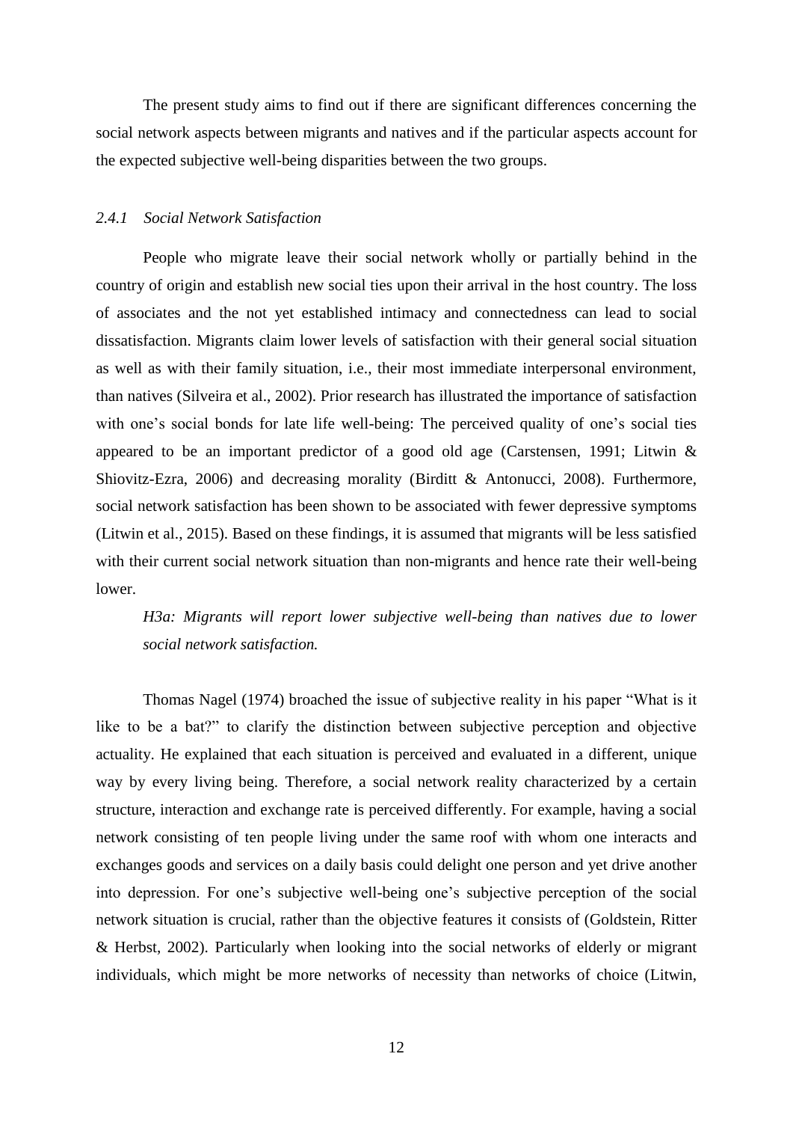The present study aims to find out if there are significant differences concerning the social network aspects between migrants and natives and if the particular aspects account for the expected subjective well-being disparities between the two groups.

#### *2.4.1 Social Network Satisfaction*

People who migrate leave their social network wholly or partially behind in the country of origin and establish new social ties upon their arrival in the host country. The loss of associates and the not yet established intimacy and connectedness can lead to social dissatisfaction. Migrants claim lower levels of satisfaction with their general social situation as well as with their family situation, i.e., their most immediate interpersonal environment, than natives (Silveira et al., 2002). Prior research has illustrated the importance of satisfaction with one's social bonds for late life well-being: The perceived quality of one's social ties appeared to be an important predictor of a good old age (Carstensen, 1991; Litwin & Shiovitz-Ezra, 2006) and decreasing morality (Birditt & Antonucci, 2008). Furthermore, social network satisfaction has been shown to be associated with fewer depressive symptoms (Litwin et al., 2015). Based on these findings, it is assumed that migrants will be less satisfied with their current social network situation than non-migrants and hence rate their well-being lower.

*H3a: Migrants will report lower subjective well-being than natives due to lower social network satisfaction.*

Thomas Nagel (1974) broached the issue of subjective reality in his paper "What is it like to be a bat?" to clarify the distinction between subjective perception and objective actuality. He explained that each situation is perceived and evaluated in a different, unique way by every living being. Therefore, a social network reality characterized by a certain structure, interaction and exchange rate is perceived differently. For example, having a social network consisting of ten people living under the same roof with whom one interacts and exchanges goods and services on a daily basis could delight one person and yet drive another into depression. For one's subjective well-being one's subjective perception of the social network situation is crucial, rather than the objective features it consists of (Goldstein, Ritter & Herbst, 2002). Particularly when looking into the social networks of elderly or migrant individuals, which might be more networks of necessity than networks of choice (Litwin,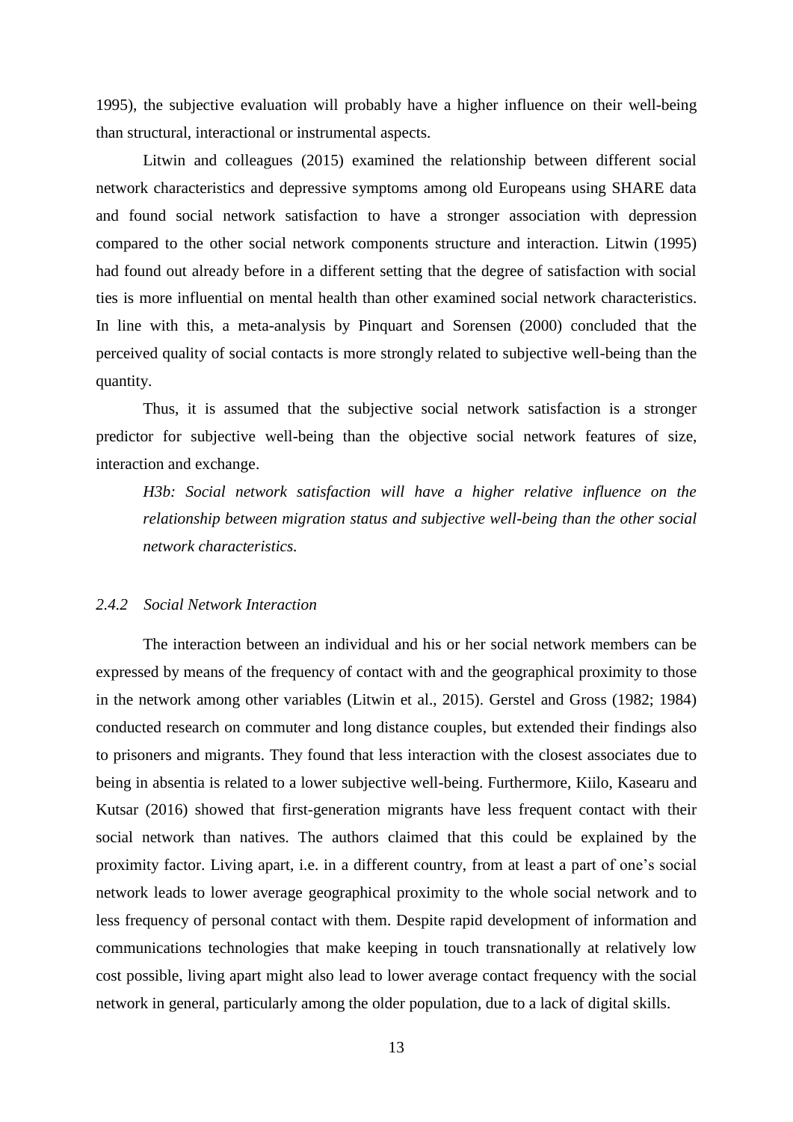1995), the subjective evaluation will probably have a higher influence on their well-being than structural, interactional or instrumental aspects.

Litwin and colleagues (2015) examined the relationship between different social network characteristics and depressive symptoms among old Europeans using SHARE data and found social network satisfaction to have a stronger association with depression compared to the other social network components structure and interaction. Litwin (1995) had found out already before in a different setting that the degree of satisfaction with social ties is more influential on mental health than other examined social network characteristics. In line with this, a meta-analysis by Pinquart and Sorensen (2000) concluded that the perceived quality of social contacts is more strongly related to subjective well-being than the quantity.

Thus, it is assumed that the subjective social network satisfaction is a stronger predictor for subjective well-being than the objective social network features of size, interaction and exchange.

*H3b: Social network satisfaction will have a higher relative influence on the relationship between migration status and subjective well-being than the other social network characteristics.*

#### *2.4.2 Social Network Interaction*

The interaction between an individual and his or her social network members can be expressed by means of the frequency of contact with and the geographical proximity to those in the network among other variables (Litwin et al., 2015). Gerstel and Gross (1982; 1984) conducted research on commuter and long distance couples, but extended their findings also to prisoners and migrants. They found that less interaction with the closest associates due to being in absentia is related to a lower subjective well-being. Furthermore, Kiilo, Kasearu and Kutsar (2016) showed that first-generation migrants have less frequent contact with their social network than natives. The authors claimed that this could be explained by the proximity factor. Living apart, i.e. in a different country, from at least a part of one's social network leads to lower average geographical proximity to the whole social network and to less frequency of personal contact with them. Despite rapid development of information and communications technologies that make keeping in touch transnationally at relatively low cost possible, living apart might also lead to lower average contact frequency with the social network in general, particularly among the older population, due to a lack of digital skills.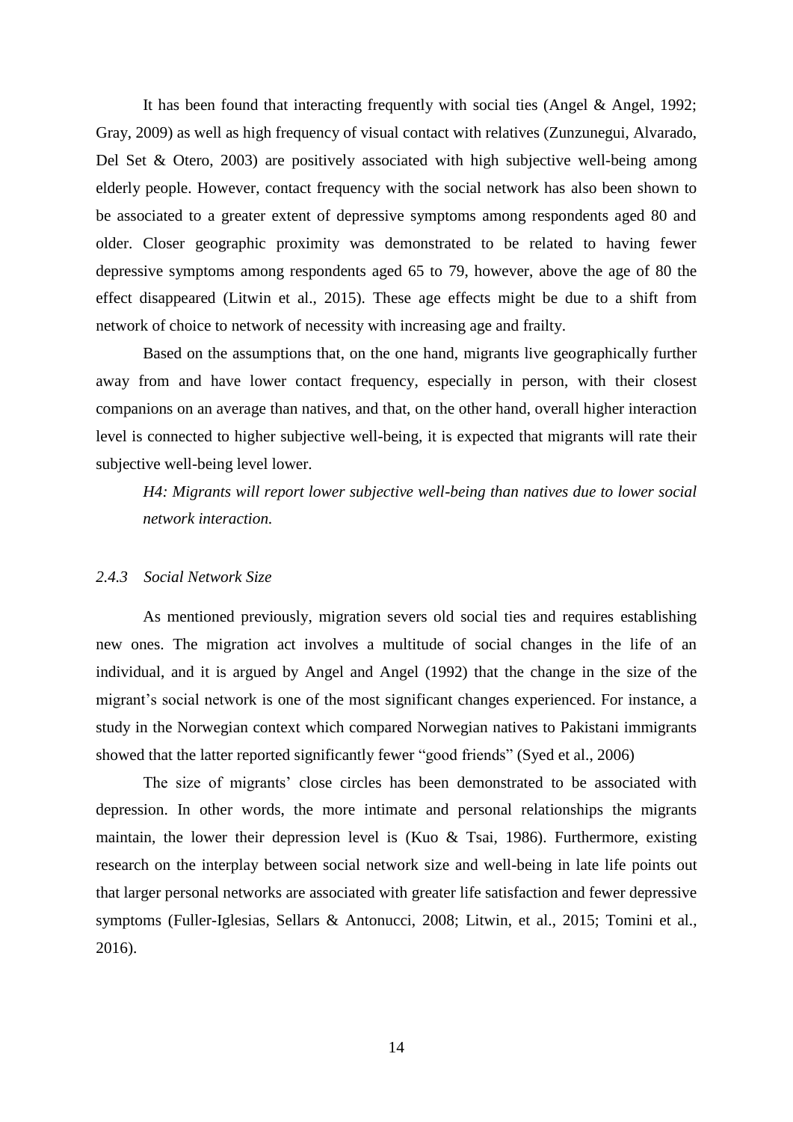It has been found that interacting frequently with social ties (Angel & Angel, 1992; Gray, 2009) as well as high frequency of visual contact with relatives (Zunzunegui, Alvarado, Del Set & Otero, 2003) are positively associated with high subjective well-being among elderly people. However, contact frequency with the social network has also been shown to be associated to a greater extent of depressive symptoms among respondents aged 80 and older. Closer geographic proximity was demonstrated to be related to having fewer depressive symptoms among respondents aged 65 to 79, however, above the age of 80 the effect disappeared (Litwin et al., 2015). These age effects might be due to a shift from network of choice to network of necessity with increasing age and frailty.

Based on the assumptions that, on the one hand, migrants live geographically further away from and have lower contact frequency, especially in person, with their closest companions on an average than natives, and that, on the other hand, overall higher interaction level is connected to higher subjective well-being, it is expected that migrants will rate their subjective well-being level lower.

*H4: Migrants will report lower subjective well-being than natives due to lower social network interaction.*

#### *2.4.3 Social Network Size*

As mentioned previously, migration severs old social ties and requires establishing new ones. The migration act involves a multitude of social changes in the life of an individual, and it is argued by Angel and Angel (1992) that the change in the size of the migrant's social network is one of the most significant changes experienced. For instance, a study in the Norwegian context which compared Norwegian natives to Pakistani immigrants showed that the latter reported significantly fewer "good friends" (Syed et al., 2006)

The size of migrants' close circles has been demonstrated to be associated with depression. In other words, the more intimate and personal relationships the migrants maintain, the lower their depression level is (Kuo & Tsai, 1986). Furthermore, existing research on the interplay between social network size and well-being in late life points out that larger personal networks are associated with greater life satisfaction and fewer depressive symptoms (Fuller-Iglesias, Sellars & Antonucci, 2008; Litwin, et al., 2015; Tomini et al., 2016).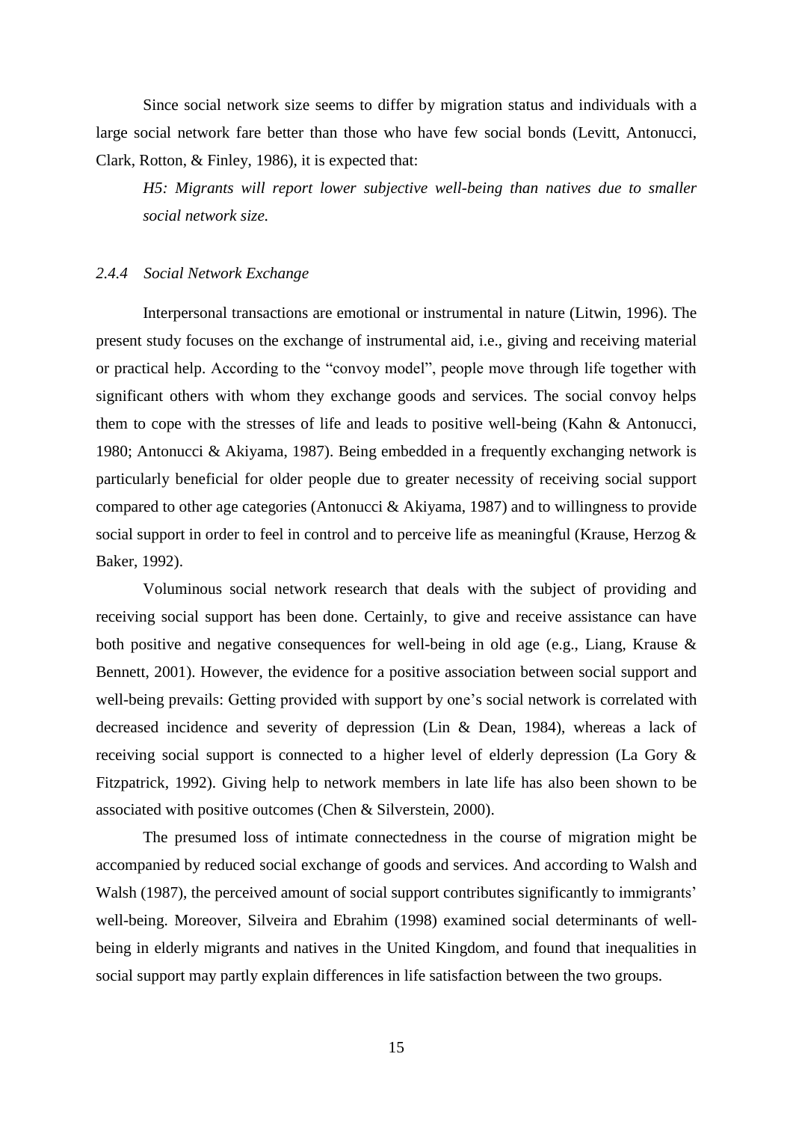Since social network size seems to differ by migration status and individuals with a large social network fare better than those who have few social bonds (Levitt, Antonucci, Clark, Rotton, & Finley, 1986), it is expected that:

*H5: Migrants will report lower subjective well-being than natives due to smaller social network size.*

#### *2.4.4 Social Network Exchange*

Interpersonal transactions are emotional or instrumental in nature (Litwin, 1996). The present study focuses on the exchange of instrumental aid, i.e., giving and receiving material or practical help. According to the "convoy model", people move through life together with significant others with whom they exchange goods and services. The social convoy helps them to cope with the stresses of life and leads to positive well-being (Kahn & Antonucci, 1980; Antonucci & Akiyama, 1987). Being embedded in a frequently exchanging network is particularly beneficial for older people due to greater necessity of receiving social support compared to other age categories (Antonucci & Akiyama, 1987) and to willingness to provide social support in order to feel in control and to perceive life as meaningful (Krause, Herzog & Baker, 1992).

Voluminous social network research that deals with the subject of providing and receiving social support has been done. Certainly, to give and receive assistance can have both positive and negative consequences for well-being in old age (e.g., Liang, Krause & Bennett, 2001). However, the evidence for a positive association between social support and well-being prevails: Getting provided with support by one's social network is correlated with decreased incidence and severity of depression (Lin & Dean, 1984), whereas a lack of receiving social support is connected to a higher level of elderly depression (La Gory & Fitzpatrick, 1992). Giving help to network members in late life has also been shown to be associated with positive outcomes (Chen & Silverstein, 2000).

The presumed loss of intimate connectedness in the course of migration might be accompanied by reduced social exchange of goods and services. And according to Walsh and Walsh (1987), the perceived amount of social support contributes significantly to immigrants' well-being. Moreover, Silveira and Ebrahim (1998) examined social determinants of wellbeing in elderly migrants and natives in the United Kingdom, and found that inequalities in social support may partly explain differences in life satisfaction between the two groups.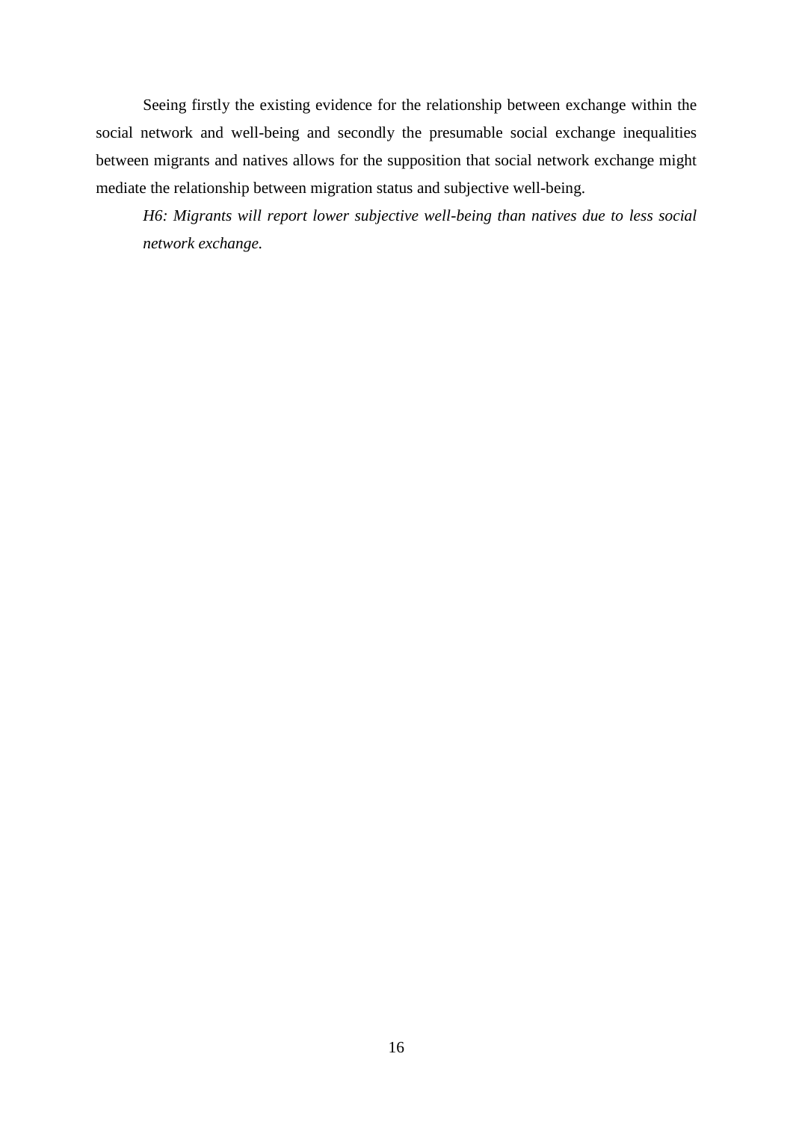Seeing firstly the existing evidence for the relationship between exchange within the social network and well-being and secondly the presumable social exchange inequalities between migrants and natives allows for the supposition that social network exchange might mediate the relationship between migration status and subjective well-being.

*H6: Migrants will report lower subjective well-being than natives due to less social network exchange.*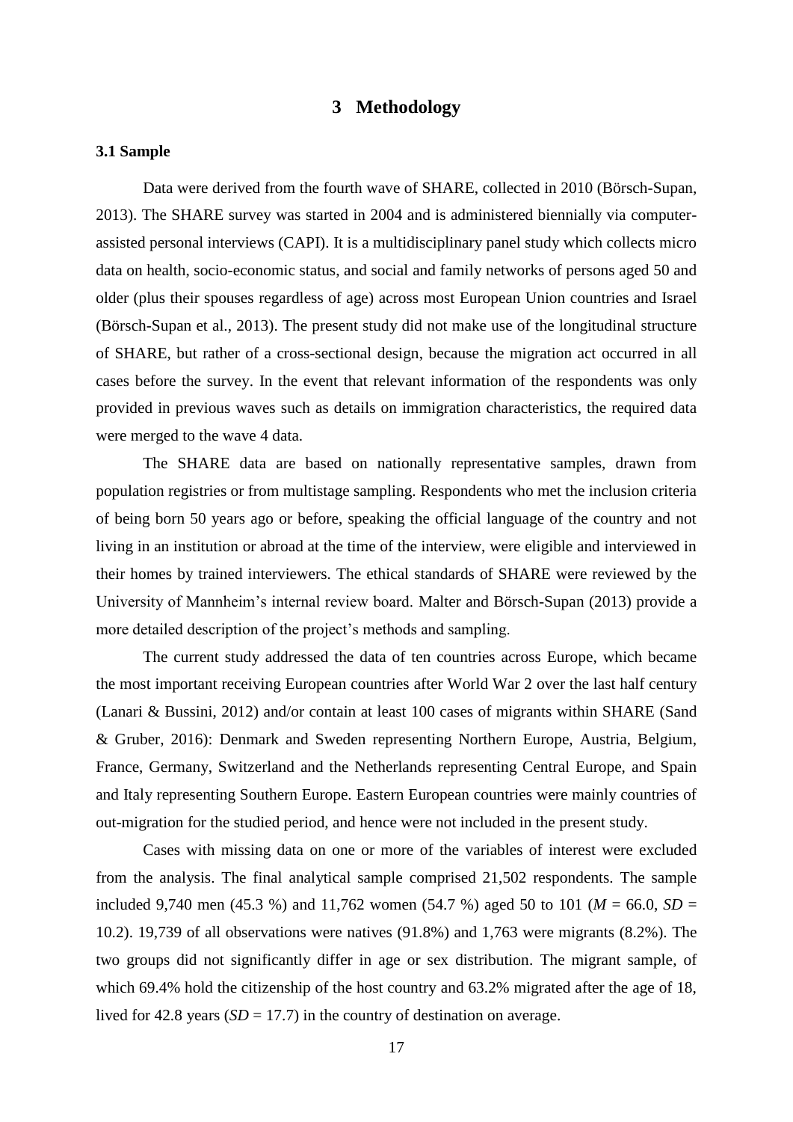#### **3 Methodology**

#### **3.1 Sample**

Data were derived from the fourth wave of SHARE, collected in 2010 (Börsch-Supan, 2013). The SHARE survey was started in 2004 and is administered biennially via computerassisted personal interviews (CAPI). It is a multidisciplinary panel study which collects micro data on health, socio-economic status, and social and family networks of persons aged 50 and older (plus their spouses regardless of age) across most European Union countries and Israel (Börsch-Supan et al., 2013). The present study did not make use of the longitudinal structure of SHARE, but rather of a cross-sectional design, because the migration act occurred in all cases before the survey. In the event that relevant information of the respondents was only provided in previous waves such as details on immigration characteristics, the required data were merged to the wave 4 data.

The SHARE data are based on nationally representative samples, drawn from population registries or from multistage sampling. Respondents who met the inclusion criteria of being born 50 years ago or before, speaking the official language of the country and not living in an institution or abroad at the time of the interview, were eligible and interviewed in their homes by trained interviewers. The ethical standards of SHARE were reviewed by the University of Mannheim's internal review board. Malter and Börsch-Supan (2013) provide a more detailed description of the project's methods and sampling.

The current study addressed the data of ten countries across Europe, which became the most important receiving European countries after World War 2 over the last half century (Lanari & Bussini, 2012) and/or contain at least 100 cases of migrants within SHARE (Sand & Gruber, 2016): Denmark and Sweden representing Northern Europe, Austria, Belgium, France, Germany, Switzerland and the Netherlands representing Central Europe, and Spain and Italy representing Southern Europe. Eastern European countries were mainly countries of out-migration for the studied period, and hence were not included in the present study.

Cases with missing data on one or more of the variables of interest were excluded from the analysis. The final analytical sample comprised 21,502 respondents. The sample included 9,740 men (45.3 %) and 11,762 women (54.7 %) aged 50 to 101 ( $M = 66.0$ ,  $SD =$ 10.2). 19,739 of all observations were natives (91.8%) and 1,763 were migrants (8.2%). The two groups did not significantly differ in age or sex distribution. The migrant sample, of which 69.4% hold the citizenship of the host country and 63.2% migrated after the age of 18, lived for 42.8 years  $(SD = 17.7)$  in the country of destination on average.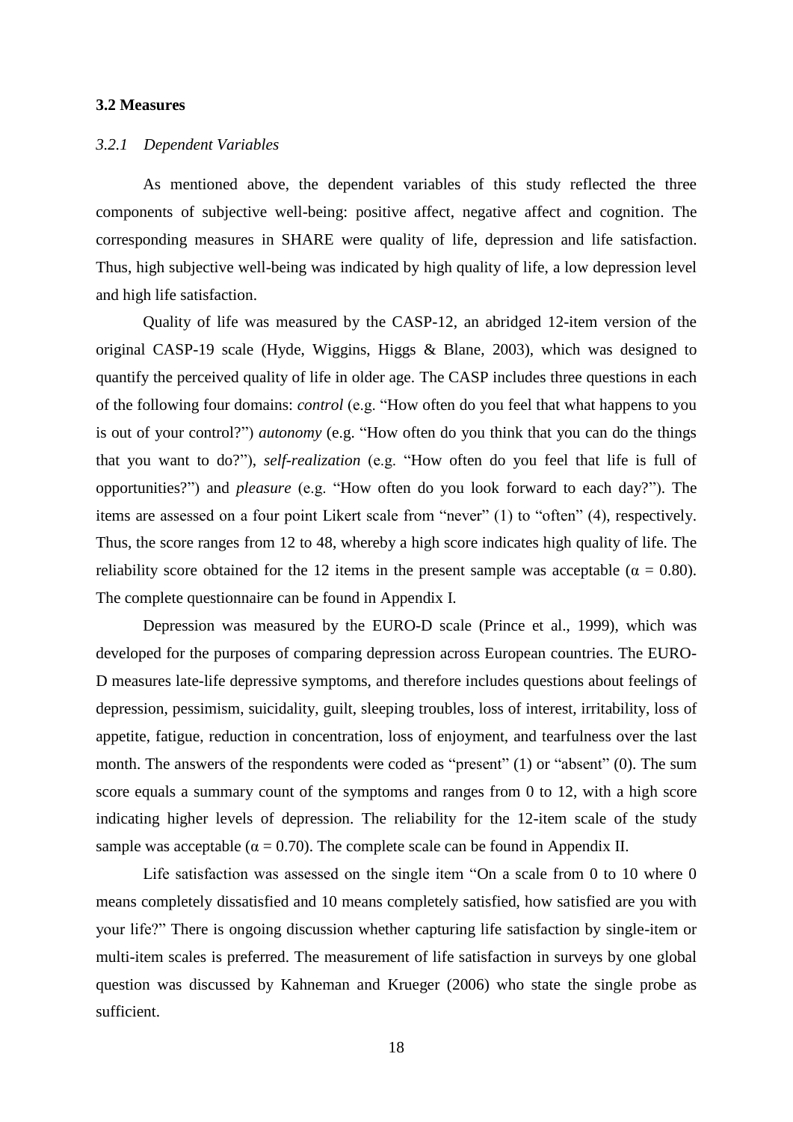#### **3.2 Measures**

#### *3.2.1 Dependent Variables*

As mentioned above, the dependent variables of this study reflected the three components of subjective well-being: positive affect, negative affect and cognition. The corresponding measures in SHARE were quality of life, depression and life satisfaction. Thus, high subjective well-being was indicated by high quality of life, a low depression level and high life satisfaction.

Quality of life was measured by the CASP-12, an abridged 12-item version of the original CASP-19 scale (Hyde, Wiggins, Higgs & Blane, 2003), which was designed to quantify the perceived quality of life in older age. The CASP includes three questions in each of the following four domains: *control* (e.g. "How often do you feel that what happens to you is out of your control?") *autonomy* (e.g. "How often do you think that you can do the things that you want to do?"), *self-realization* (e.g. "How often do you feel that life is full of opportunities?") and *pleasure* (e.g. "How often do you look forward to each day?"). The items are assessed on a four point Likert scale from "never" (1) to "often" (4), respectively. Thus, the score ranges from 12 to 48, whereby a high score indicates high quality of life. The reliability score obtained for the 12 items in the present sample was acceptable ( $\alpha = 0.80$ ). The complete questionnaire can be found in Appendix I.

Depression was measured by the EURO-D scale (Prince et al., 1999), which was developed for the purposes of comparing depression across European countries. The EURO-D measures late-life depressive symptoms, and therefore includes questions about feelings of depression, pessimism, suicidality, guilt, sleeping troubles, loss of interest, irritability, loss of appetite, fatigue, reduction in concentration, loss of enjoyment, and tearfulness over the last month. The answers of the respondents were coded as "present" (1) or "absent" (0). The sum score equals a summary count of the symptoms and ranges from 0 to 12, with a high score indicating higher levels of depression. The reliability for the 12-item scale of the study sample was acceptable ( $\alpha = 0.70$ ). The complete scale can be found in Appendix II.

Life satisfaction was assessed on the single item "On a scale from 0 to 10 where 0 means completely dissatisfied and 10 means completely satisfied, how satisfied are you with your life?" There is ongoing discussion whether capturing life satisfaction by single-item or multi-item scales is preferred. The measurement of life satisfaction in surveys by one global question was discussed by Kahneman and Krueger (2006) who state the single probe as sufficient.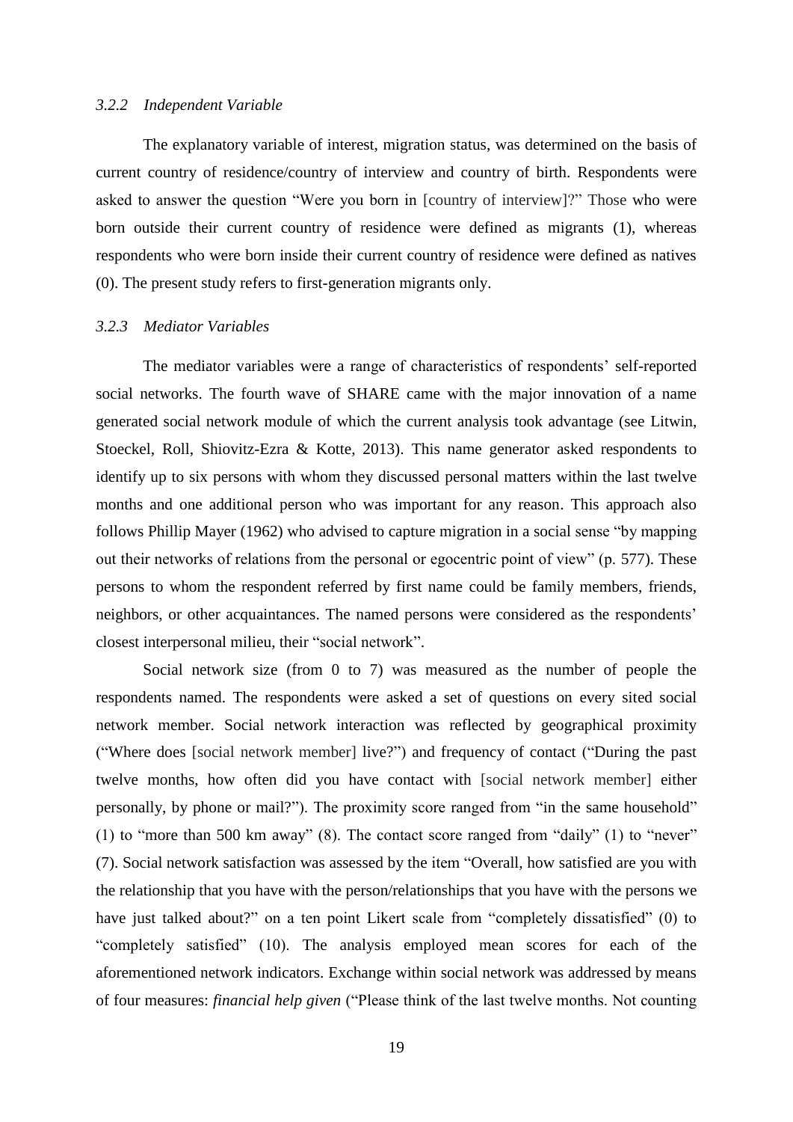#### *3.2.2 Independent Variable*

The explanatory variable of interest, migration status, was determined on the basis of current country of residence/country of interview and country of birth. Respondents were asked to answer the question "Were you born in [country of interview]?" Those who were born outside their current country of residence were defined as migrants (1), whereas respondents who were born inside their current country of residence were defined as natives (0). The present study refers to first-generation migrants only.

#### *3.2.3 Mediator Variables*

The mediator variables were a range of characteristics of respondents' self-reported social networks. The fourth wave of SHARE came with the major innovation of a name generated social network module of which the current analysis took advantage (see Litwin, Stoeckel, Roll, Shiovitz-Ezra & Kotte, 2013). This name generator asked respondents to identify up to six persons with whom they discussed personal matters within the last twelve months and one additional person who was important for any reason. This approach also follows Phillip Mayer (1962) who advised to capture migration in a social sense "by mapping out their networks of relations from the personal or egocentric point of view" (p. 577). These persons to whom the respondent referred by first name could be family members, friends, neighbors, or other acquaintances. The named persons were considered as the respondents' closest interpersonal milieu, their "social network".

Social network size (from 0 to 7) was measured as the number of people the respondents named. The respondents were asked a set of questions on every sited social network member. Social network interaction was reflected by geographical proximity ("Where does [social network member] live?") and frequency of contact ("During the past twelve months, how often did you have contact with [social network member] either personally, by phone or mail?"). The proximity score ranged from "in the same household" (1) to "more than 500 km away" (8). The contact score ranged from "daily" (1) to "never" (7). Social network satisfaction was assessed by the item "Overall, how satisfied are you with the relationship that you have with the person/relationships that you have with the persons we have just talked about?" on a ten point Likert scale from "completely dissatisfied" (0) to "completely satisfied" (10). The analysis employed mean scores for each of the aforementioned network indicators. Exchange within social network was addressed by means of four measures: *financial help given* ("Please think of the last twelve months. Not counting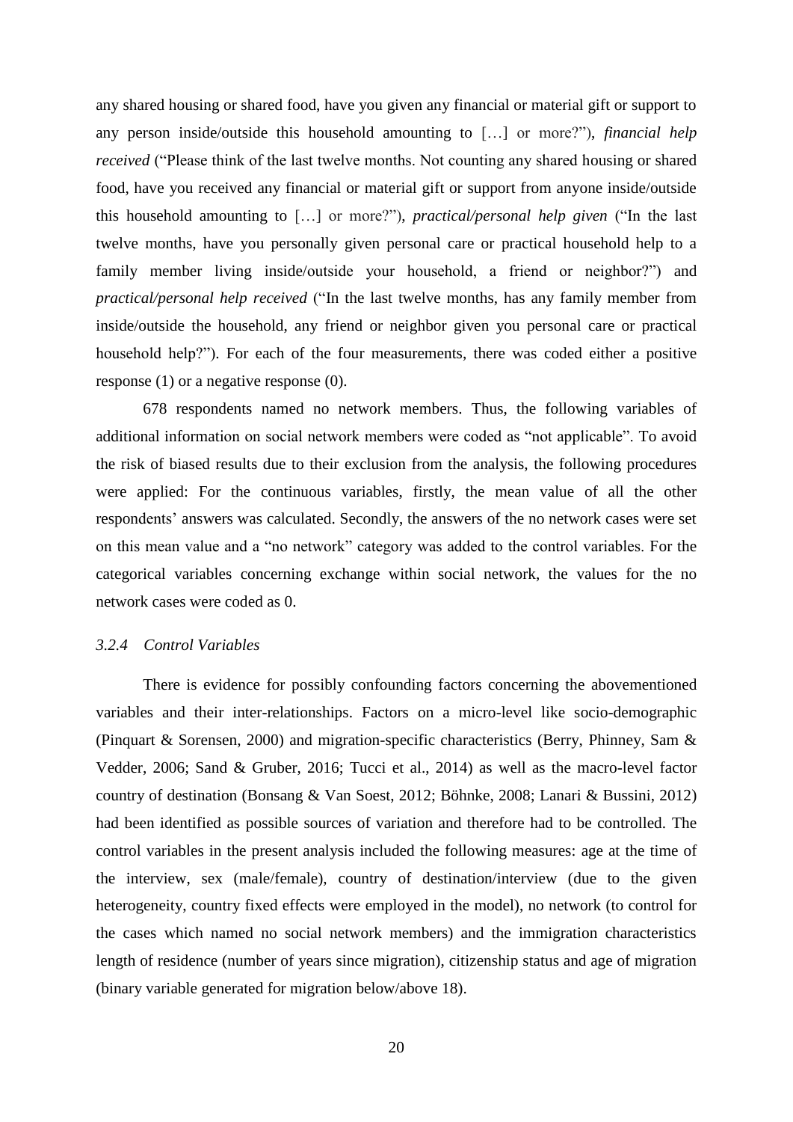any shared housing or shared food, have you given any financial or material gift or support to any person inside/outside this household amounting to […] or more?"), *financial help received* ("Please think of the last twelve months. Not counting any shared housing or shared food, have you received any financial or material gift or support from anyone inside/outside this household amounting to […] or more?"), *practical/personal help given* ("In the last twelve months, have you personally given personal care or practical household help to a family member living inside/outside your household, a friend or neighbor?") and *practical/personal help received* ("In the last twelve months, has any family member from inside/outside the household, any friend or neighbor given you personal care or practical household help?"). For each of the four measurements, there was coded either a positive response (1) or a negative response (0).

678 respondents named no network members. Thus, the following variables of additional information on social network members were coded as "not applicable". To avoid the risk of biased results due to their exclusion from the analysis, the following procedures were applied: For the continuous variables, firstly, the mean value of all the other respondents' answers was calculated. Secondly, the answers of the no network cases were set on this mean value and a "no network" category was added to the control variables. For the categorical variables concerning exchange within social network, the values for the no network cases were coded as 0.

#### *3.2.4 Control Variables*

There is evidence for possibly confounding factors concerning the abovementioned variables and their inter-relationships. Factors on a micro-level like socio-demographic (Pinquart & Sorensen, 2000) and migration-specific characteristics (Berry, Phinney, Sam & Vedder, 2006; Sand & Gruber, 2016; Tucci et al., 2014) as well as the macro-level factor country of destination (Bonsang & Van Soest, 2012; Böhnke, 2008; Lanari & Bussini, 2012) had been identified as possible sources of variation and therefore had to be controlled. The control variables in the present analysis included the following measures: age at the time of the interview, sex (male/female), country of destination/interview (due to the given heterogeneity, country fixed effects were employed in the model), no network (to control for the cases which named no social network members) and the immigration characteristics length of residence (number of years since migration), citizenship status and age of migration (binary variable generated for migration below/above 18).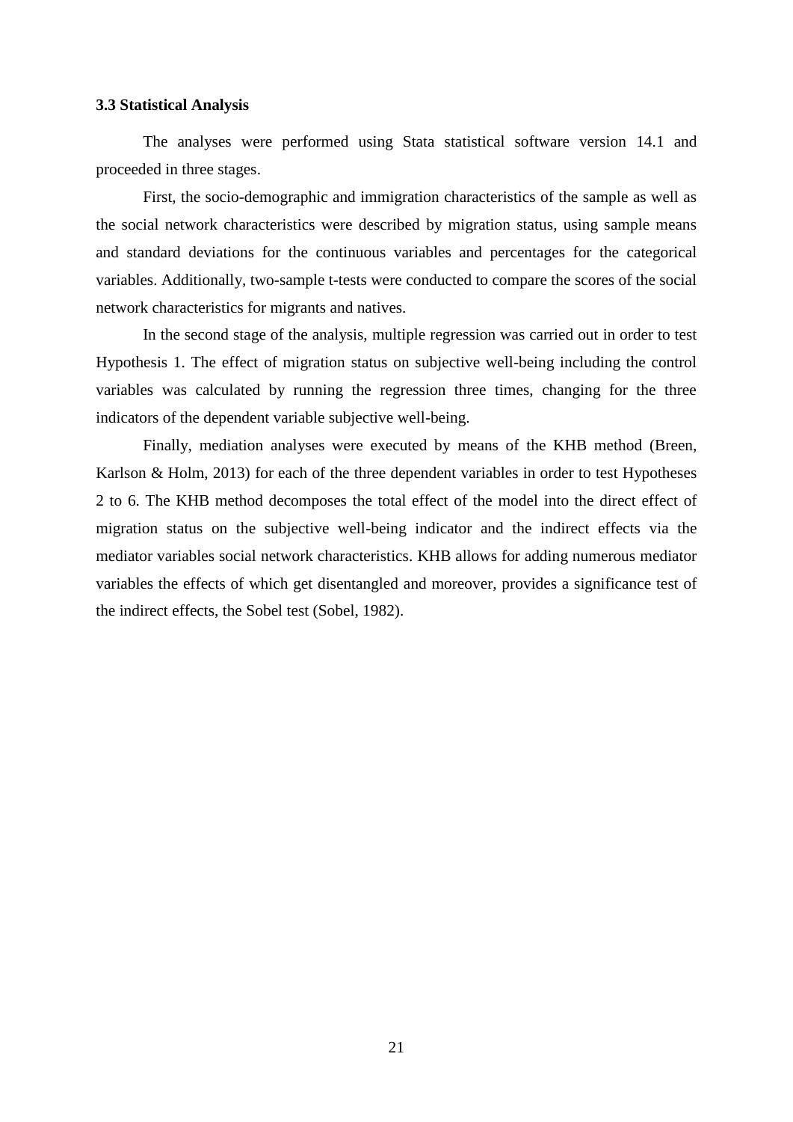#### **3.3 Statistical Analysis**

The analyses were performed using Stata statistical software version 14.1 and proceeded in three stages.

First, the socio-demographic and immigration characteristics of the sample as well as the social network characteristics were described by migration status, using sample means and standard deviations for the continuous variables and percentages for the categorical variables. Additionally, two-sample t-tests were conducted to compare the scores of the social network characteristics for migrants and natives.

In the second stage of the analysis, multiple regression was carried out in order to test Hypothesis 1. The effect of migration status on subjective well-being including the control variables was calculated by running the regression three times, changing for the three indicators of the dependent variable subjective well-being.

Finally, mediation analyses were executed by means of the KHB method (Breen, Karlson & Holm, 2013) for each of the three dependent variables in order to test Hypotheses 2 to 6. The KHB method decomposes the total effect of the model into the direct effect of migration status on the subjective well-being indicator and the indirect effects via the mediator variables social network characteristics. KHB allows for adding numerous mediator variables the effects of which get disentangled and moreover, provides a significance test of the indirect effects, the Sobel test (Sobel, 1982).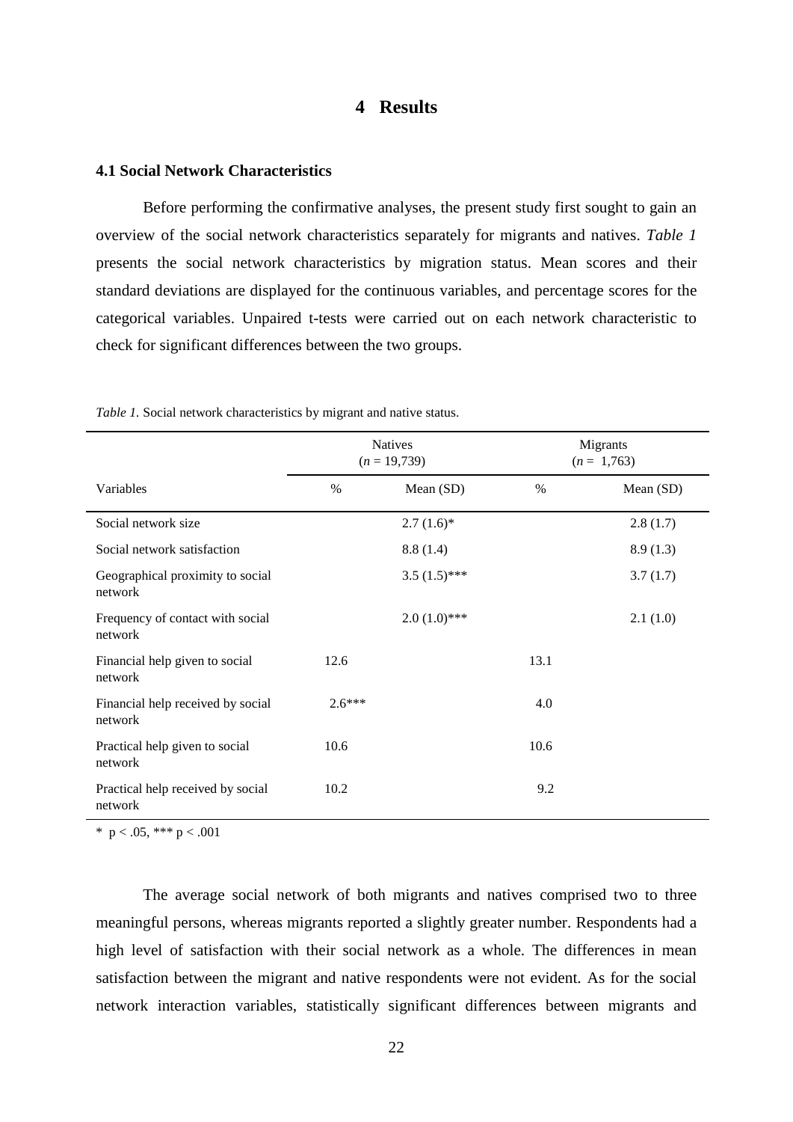### **4 Results**

#### **4.1 Social Network Characteristics**

Before performing the confirmative analyses, the present study first sought to gain an overview of the social network characteristics separately for migrants and natives. *Table 1* presents the social network characteristics by migration status. Mean scores and their standard deviations are displayed for the continuous variables, and percentage scores for the categorical variables. Unpaired t-tests were carried out on each network characteristic to check for significant differences between the two groups.

|                                              |          | <b>Natives</b><br>$(n = 19,739)$ |      | Migrants<br>$(n = 1,763)$ |
|----------------------------------------------|----------|----------------------------------|------|---------------------------|
| Variables                                    | $\%$     | Mean (SD)                        | $\%$ | Mean (SD)                 |
| Social network size                          |          | $2.7(1.6)*$                      |      | 2.8(1.7)                  |
| Social network satisfaction                  |          | 8.8(1.4)                         |      | 8.9(1.3)                  |
| Geographical proximity to social<br>network  |          | $3.5(1.5)$ ***                   |      | 3.7(1.7)                  |
| Frequency of contact with social<br>network  |          | $2.0(1.0)***$                    |      | 2.1(1.0)                  |
| Financial help given to social<br>network    | 12.6     |                                  | 13.1 |                           |
| Financial help received by social<br>network | $2.6***$ |                                  | 4.0  |                           |
| Practical help given to social<br>network    | 10.6     |                                  | 10.6 |                           |
| Practical help received by social<br>network | 10.2     |                                  | 9.2  |                           |

*Table 1.* Social network characteristics by migrant and native status.

\*  $p < .05$ , \*\*\*  $p < .001$ 

The average social network of both migrants and natives comprised two to three meaningful persons, whereas migrants reported a slightly greater number. Respondents had a high level of satisfaction with their social network as a whole. The differences in mean satisfaction between the migrant and native respondents were not evident. As for the social network interaction variables, statistically significant differences between migrants and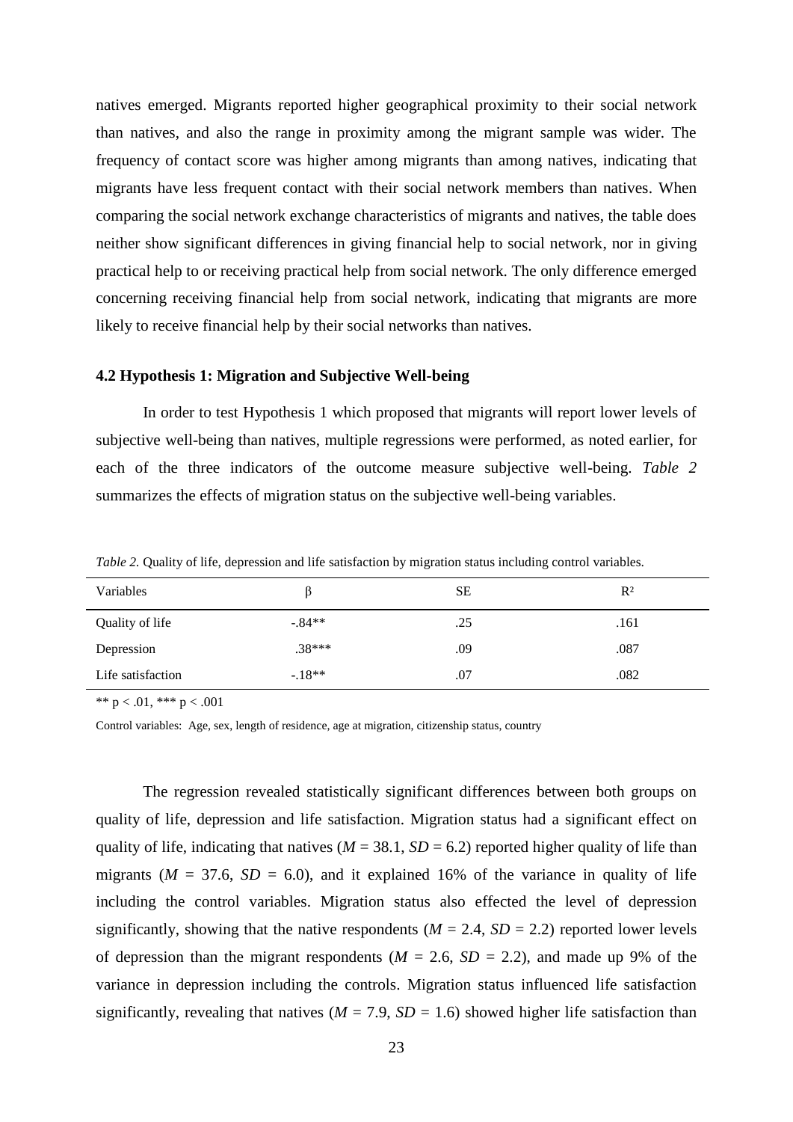natives emerged. Migrants reported higher geographical proximity to their social network than natives, and also the range in proximity among the migrant sample was wider. The frequency of contact score was higher among migrants than among natives, indicating that migrants have less frequent contact with their social network members than natives. When comparing the social network exchange characteristics of migrants and natives, the table does neither show significant differences in giving financial help to social network, nor in giving practical help to or receiving practical help from social network. The only difference emerged concerning receiving financial help from social network, indicating that migrants are more likely to receive financial help by their social networks than natives.

#### **4.2 Hypothesis 1: Migration and Subjective Well-being**

In order to test Hypothesis 1 which proposed that migrants will report lower levels of subjective well-being than natives, multiple regressions were performed, as noted earlier, for each of the three indicators of the outcome measure subjective well-being. *Table 2* summarizes the effects of migration status on the subjective well-being variables.

*Table 2.* Quality of life, depression and life satisfaction by migration status including control variables.

| Variables         | Þ        | SЕ  | $R^2$ |
|-------------------|----------|-----|-------|
| Quality of life   | $-.84**$ | .25 | .161  |
| Depression        | $.38***$ | .09 | .087  |
| Life satisfaction | $-18**$  | .07 | .082  |

\*\*  $p < .01$ , \*\*\*  $p < .001$ 

Control variables: Age, sex, length of residence, age at migration, citizenship status, country

The regression revealed statistically significant differences between both groups on quality of life, depression and life satisfaction. Migration status had a significant effect on quality of life, indicating that natives ( $M = 38.1$ ,  $SD = 6.2$ ) reported higher quality of life than migrants ( $M = 37.6$ ,  $SD = 6.0$ ), and it explained 16% of the variance in quality of life including the control variables. Migration status also effected the level of depression significantly, showing that the native respondents  $(M = 2.4, SD = 2.2)$  reported lower levels of depression than the migrant respondents ( $M = 2.6$ ,  $SD = 2.2$ ), and made up 9% of the variance in depression including the controls. Migration status influenced life satisfaction significantly, revealing that natives  $(M = 7.9, SD = 1.6)$  showed higher life satisfaction than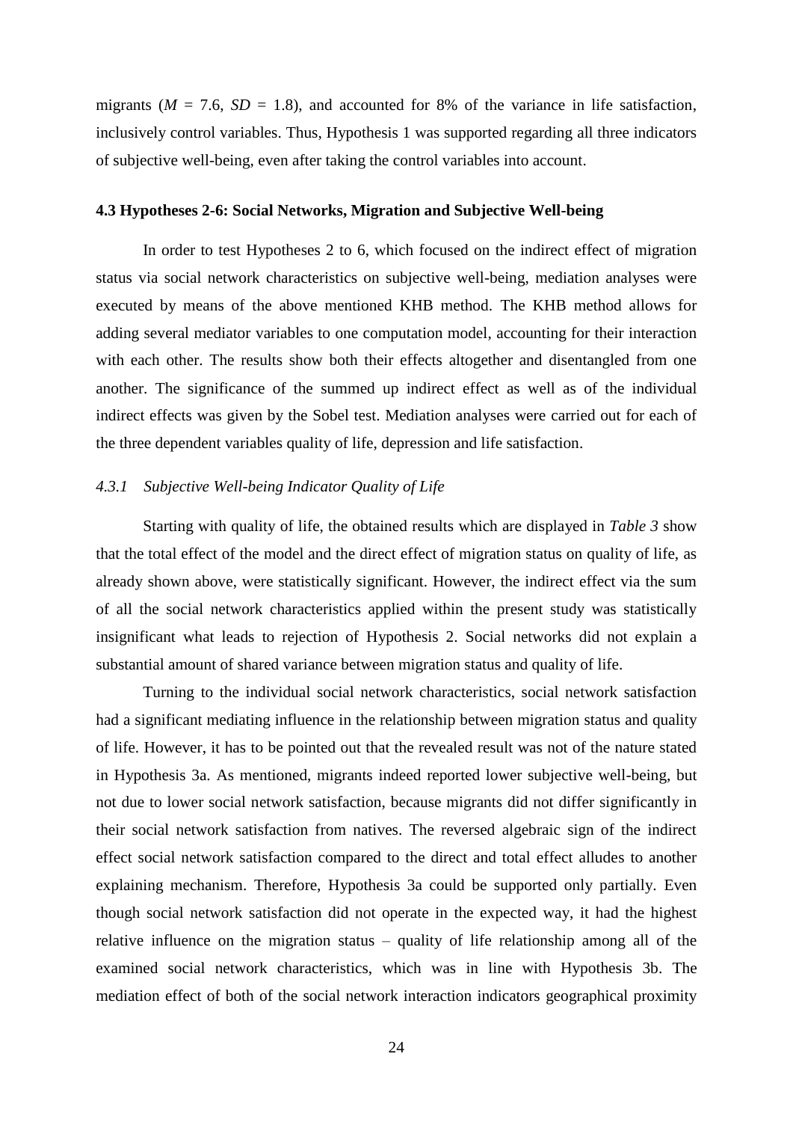migrants ( $M = 7.6$ ,  $SD = 1.8$ ), and accounted for 8% of the variance in life satisfaction, inclusively control variables. Thus, Hypothesis 1 was supported regarding all three indicators of subjective well-being, even after taking the control variables into account.

#### **4.3 Hypotheses 2-6: Social Networks, Migration and Subjective Well-being**

In order to test Hypotheses 2 to 6, which focused on the indirect effect of migration status via social network characteristics on subjective well-being, mediation analyses were executed by means of the above mentioned KHB method. The KHB method allows for adding several mediator variables to one computation model, accounting for their interaction with each other. The results show both their effects altogether and disentangled from one another. The significance of the summed up indirect effect as well as of the individual indirect effects was given by the Sobel test. Mediation analyses were carried out for each of the three dependent variables quality of life, depression and life satisfaction.

#### *4.3.1 Subjective Well-being Indicator Quality of Life*

Starting with quality of life, the obtained results which are displayed in *Table 3* show that the total effect of the model and the direct effect of migration status on quality of life, as already shown above, were statistically significant. However, the indirect effect via the sum of all the social network characteristics applied within the present study was statistically insignificant what leads to rejection of Hypothesis 2. Social networks did not explain a substantial amount of shared variance between migration status and quality of life.

Turning to the individual social network characteristics, social network satisfaction had a significant mediating influence in the relationship between migration status and quality of life. However, it has to be pointed out that the revealed result was not of the nature stated in Hypothesis 3a. As mentioned, migrants indeed reported lower subjective well-being, but not due to lower social network satisfaction, because migrants did not differ significantly in their social network satisfaction from natives. The reversed algebraic sign of the indirect effect social network satisfaction compared to the direct and total effect alludes to another explaining mechanism. Therefore, Hypothesis 3a could be supported only partially. Even though social network satisfaction did not operate in the expected way, it had the highest relative influence on the migration status – quality of life relationship among all of the examined social network characteristics, which was in line with Hypothesis 3b. The mediation effect of both of the social network interaction indicators geographical proximity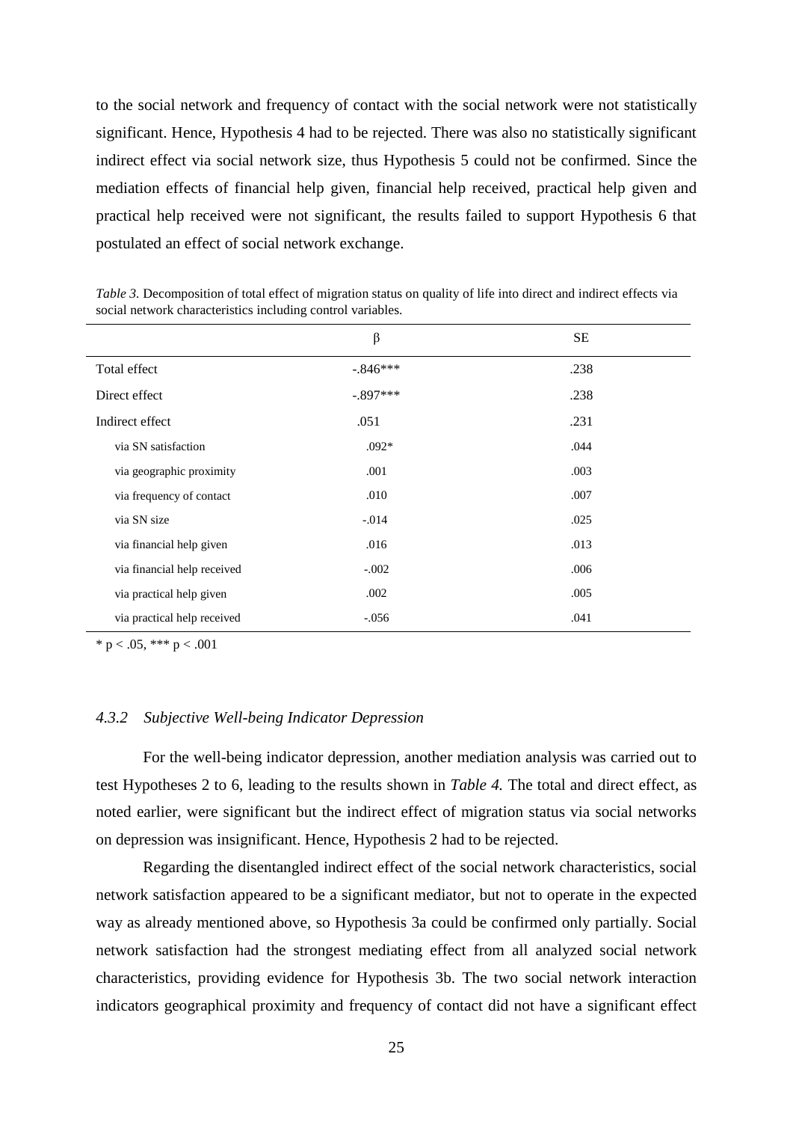to the social network and frequency of contact with the social network were not statistically significant. Hence, Hypothesis 4 had to be rejected. There was also no statistically significant indirect effect via social network size, thus Hypothesis 5 could not be confirmed. Since the mediation effects of financial help given, financial help received, practical help given and practical help received were not significant, the results failed to support Hypothesis 6 that postulated an effect of social network exchange.

|                             | $\beta$    | <b>SE</b> |
|-----------------------------|------------|-----------|
| Total effect                | $-.846***$ | .238      |
| Direct effect               | $-.897***$ | .238      |
| Indirect effect             | .051       | .231      |
| via SN satisfaction         | $.092*$    | .044      |
| via geographic proximity    | .001       | .003      |
| via frequency of contact    | .010       | .007      |
| via SN size                 | $-.014$    | .025      |
| via financial help given    | .016       | .013      |
| via financial help received | $-.002$    | .006      |
| via practical help given    | .002       | .005      |
| via practical help received | $-.056$    | .041      |
|                             |            |           |

*Table 3.* Decomposition of total effect of migration status on quality of life into direct and indirect effects via social network characteristics including control variables.

\* p < .05, \*\*\* p < .001

#### *4.3.2 Subjective Well-being Indicator Depression*

For the well-being indicator depression, another mediation analysis was carried out to test Hypotheses 2 to 6, leading to the results shown in *Table 4.* The total and direct effect, as noted earlier, were significant but the indirect effect of migration status via social networks on depression was insignificant. Hence, Hypothesis 2 had to be rejected.

Regarding the disentangled indirect effect of the social network characteristics, social network satisfaction appeared to be a significant mediator, but not to operate in the expected way as already mentioned above, so Hypothesis 3a could be confirmed only partially. Social network satisfaction had the strongest mediating effect from all analyzed social network characteristics, providing evidence for Hypothesis 3b. The two social network interaction indicators geographical proximity and frequency of contact did not have a significant effect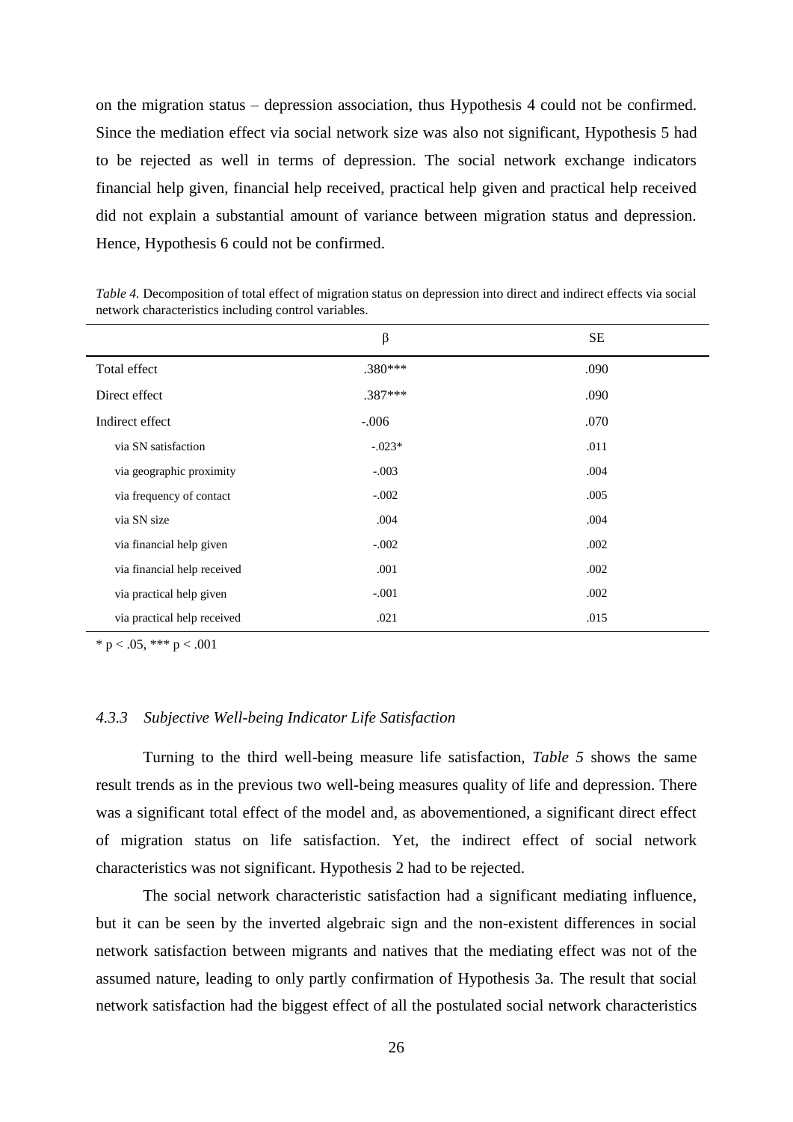on the migration status – depression association, thus Hypothesis 4 could not be confirmed. Since the mediation effect via social network size was also not significant, Hypothesis 5 had to be rejected as well in terms of depression. The social network exchange indicators financial help given, financial help received, practical help given and practical help received did not explain a substantial amount of variance between migration status and depression. Hence, Hypothesis 6 could not be confirmed.

|                             | $\beta$   | <b>SE</b> |
|-----------------------------|-----------|-----------|
| Total effect                | $.380***$ | .090      |
| Direct effect               | $.387***$ | .090      |
| Indirect effect             | $-.006$   | .070      |
| via SN satisfaction         | $-.023*$  | .011      |
| via geographic proximity    | $-.003$   | .004      |
| via frequency of contact    | $-.002$   | .005      |
| via SN size                 | .004      | .004      |
| via financial help given    | $-.002$   | .002      |
| via financial help received | .001      | .002      |
| via practical help given    | $-.001$   | .002      |
| via practical help received | .021      | .015      |

*Table 4.* Decomposition of total effect of migration status on depression into direct and indirect effects via social network characteristics including control variables.

\* p < .05, \*\*\* p < .001

#### *4.3.3 Subjective Well-being Indicator Life Satisfaction*

Turning to the third well-being measure life satisfaction, *Table 5* shows the same result trends as in the previous two well-being measures quality of life and depression. There was a significant total effect of the model and, as abovementioned, a significant direct effect of migration status on life satisfaction. Yet, the indirect effect of social network characteristics was not significant. Hypothesis 2 had to be rejected.

The social network characteristic satisfaction had a significant mediating influence, but it can be seen by the inverted algebraic sign and the non-existent differences in social network satisfaction between migrants and natives that the mediating effect was not of the assumed nature, leading to only partly confirmation of Hypothesis 3a. The result that social network satisfaction had the biggest effect of all the postulated social network characteristics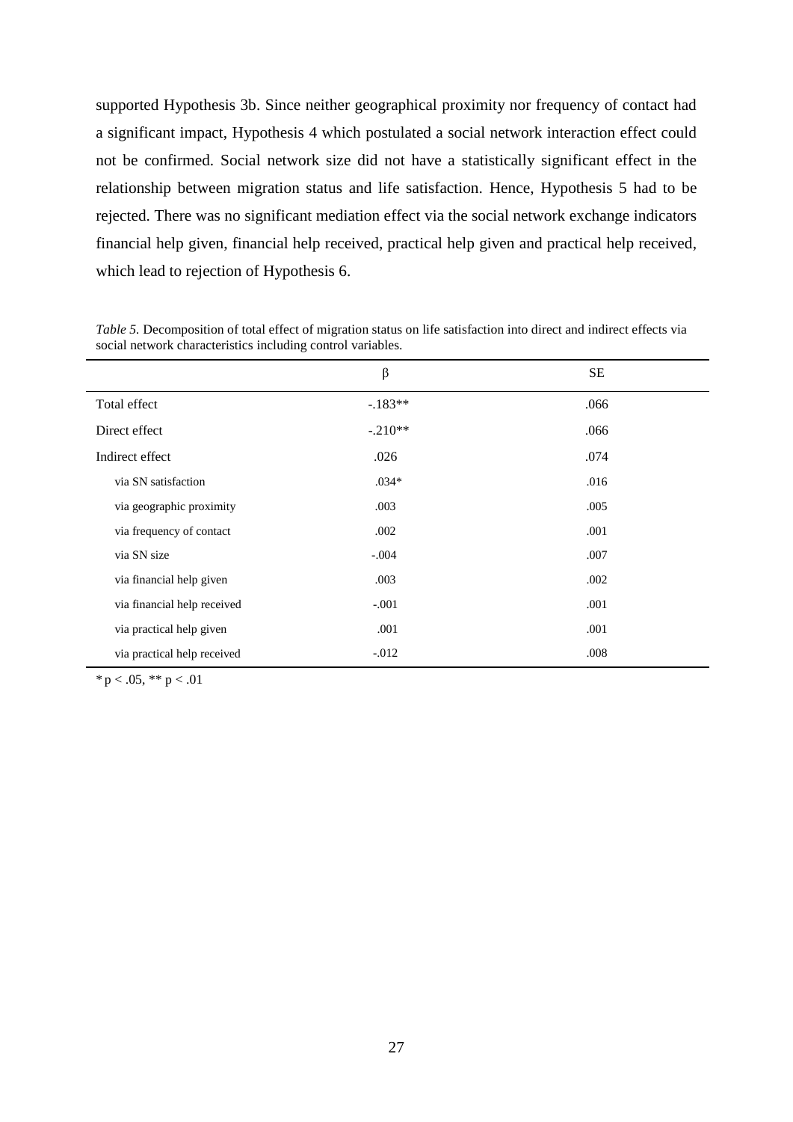supported Hypothesis 3b. Since neither geographical proximity nor frequency of contact had a significant impact, Hypothesis 4 which postulated a social network interaction effect could not be confirmed. Social network size did not have a statistically significant effect in the relationship between migration status and life satisfaction. Hence, Hypothesis 5 had to be rejected. There was no significant mediation effect via the social network exchange indicators financial help given, financial help received, practical help given and practical help received, which lead to rejection of Hypothesis 6.

|                             | β         | <b>SE</b> |
|-----------------------------|-----------|-----------|
| Total effect                | $-.183**$ | .066      |
| Direct effect               | $-.210**$ | .066      |
| Indirect effect             | .026      | .074      |
| via SN satisfaction         | $.034*$   | .016      |
| via geographic proximity    | .003      | .005      |
| via frequency of contact    | .002      | .001      |
| via SN size                 | $-.004$   | .007      |
| via financial help given    | .003      | .002      |
| via financial help received | $-.001$   | .001      |
| via practical help given    | .001      | .001      |
| via practical help received | $-0.012$  | .008      |

*Table 5.* Decomposition of total effect of migration status on life satisfaction into direct and indirect effects via social network characteristics including control variables.

 $* p < .05, ** p < .01$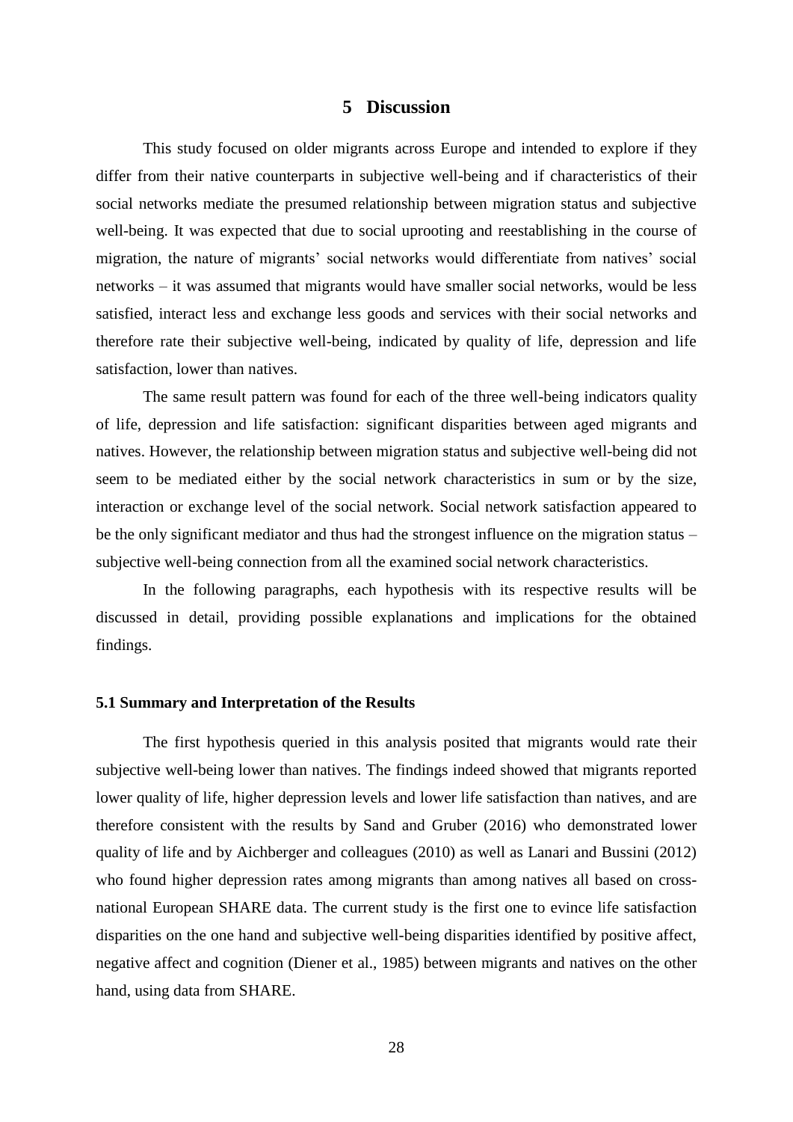#### **5 Discussion**

This study focused on older migrants across Europe and intended to explore if they differ from their native counterparts in subjective well-being and if characteristics of their social networks mediate the presumed relationship between migration status and subjective well-being. It was expected that due to social uprooting and reestablishing in the course of migration, the nature of migrants' social networks would differentiate from natives' social networks – it was assumed that migrants would have smaller social networks, would be less satisfied, interact less and exchange less goods and services with their social networks and therefore rate their subjective well-being, indicated by quality of life, depression and life satisfaction, lower than natives.

The same result pattern was found for each of the three well-being indicators quality of life, depression and life satisfaction: significant disparities between aged migrants and natives. However, the relationship between migration status and subjective well-being did not seem to be mediated either by the social network characteristics in sum or by the size, interaction or exchange level of the social network. Social network satisfaction appeared to be the only significant mediator and thus had the strongest influence on the migration status – subjective well-being connection from all the examined social network characteristics.

In the following paragraphs, each hypothesis with its respective results will be discussed in detail, providing possible explanations and implications for the obtained findings.

#### **5.1 Summary and Interpretation of the Results**

The first hypothesis queried in this analysis posited that migrants would rate their subjective well-being lower than natives. The findings indeed showed that migrants reported lower quality of life, higher depression levels and lower life satisfaction than natives, and are therefore consistent with the results by Sand and Gruber (2016) who demonstrated lower quality of life and by Aichberger and colleagues (2010) as well as Lanari and Bussini (2012) who found higher depression rates among migrants than among natives all based on crossnational European SHARE data. The current study is the first one to evince life satisfaction disparities on the one hand and subjective well-being disparities identified by positive affect, negative affect and cognition (Diener et al., 1985) between migrants and natives on the other hand, using data from SHARE.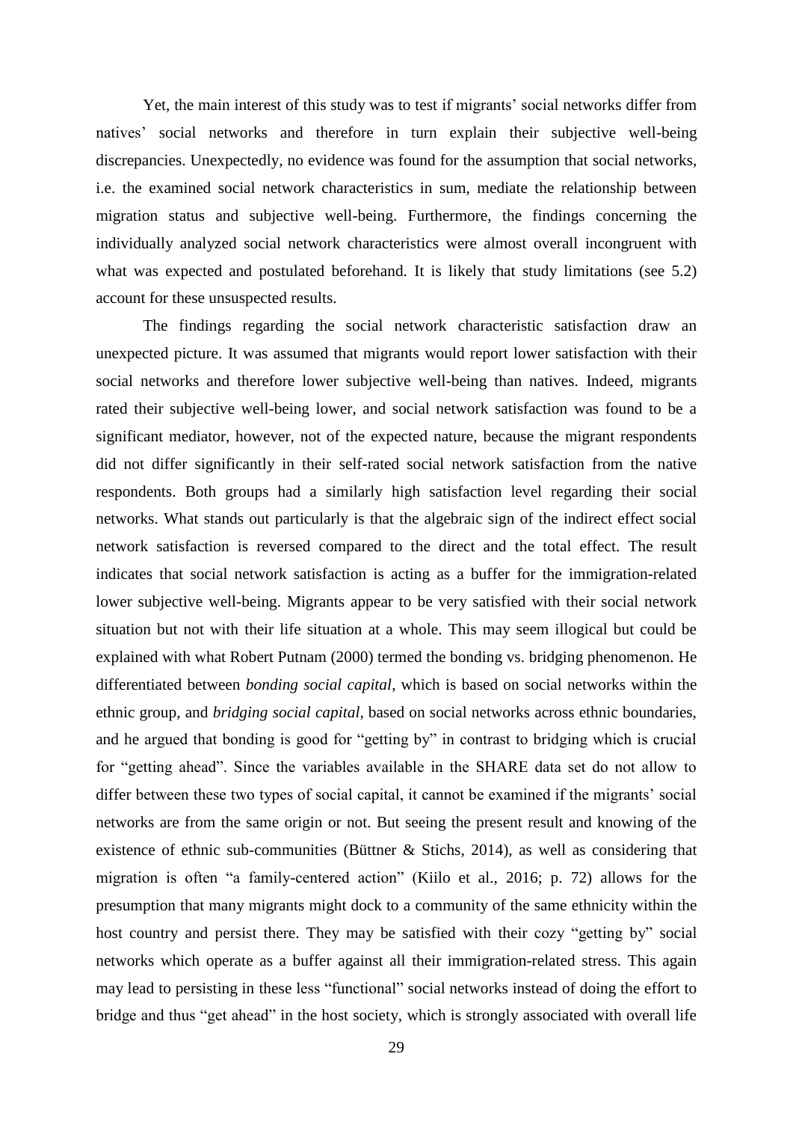Yet, the main interest of this study was to test if migrants' social networks differ from natives' social networks and therefore in turn explain their subjective well-being discrepancies. Unexpectedly, no evidence was found for the assumption that social networks, i.e. the examined social network characteristics in sum, mediate the relationship between migration status and subjective well-being. Furthermore, the findings concerning the individually analyzed social network characteristics were almost overall incongruent with what was expected and postulated beforehand. It is likely that study limitations (see 5.2) account for these unsuspected results.

The findings regarding the social network characteristic satisfaction draw an unexpected picture. It was assumed that migrants would report lower satisfaction with their social networks and therefore lower subjective well-being than natives. Indeed, migrants rated their subjective well-being lower, and social network satisfaction was found to be a significant mediator, however, not of the expected nature, because the migrant respondents did not differ significantly in their self-rated social network satisfaction from the native respondents. Both groups had a similarly high satisfaction level regarding their social networks. What stands out particularly is that the algebraic sign of the indirect effect social network satisfaction is reversed compared to the direct and the total effect. The result indicates that social network satisfaction is acting as a buffer for the immigration-related lower subjective well-being. Migrants appear to be very satisfied with their social network situation but not with their life situation at a whole. This may seem illogical but could be explained with what Robert Putnam (2000) termed the bonding vs. bridging phenomenon. He differentiated between *bonding social capital*, which is based on social networks within the ethnic group, and *bridging social capital*, based on social networks across ethnic boundaries, and he argued that bonding is good for "getting by" in contrast to bridging which is crucial for "getting ahead". Since the variables available in the SHARE data set do not allow to differ between these two types of social capital, it cannot be examined if the migrants' social networks are from the same origin or not. But seeing the present result and knowing of the existence of ethnic sub-communities (Büttner & Stichs, 2014), as well as considering that migration is often "a family-centered action" (Kiilo et al., 2016; p. 72) allows for the presumption that many migrants might dock to a community of the same ethnicity within the host country and persist there. They may be satisfied with their cozy "getting by" social networks which operate as a buffer against all their immigration-related stress. This again may lead to persisting in these less "functional" social networks instead of doing the effort to bridge and thus "get ahead" in the host society, which is strongly associated with overall life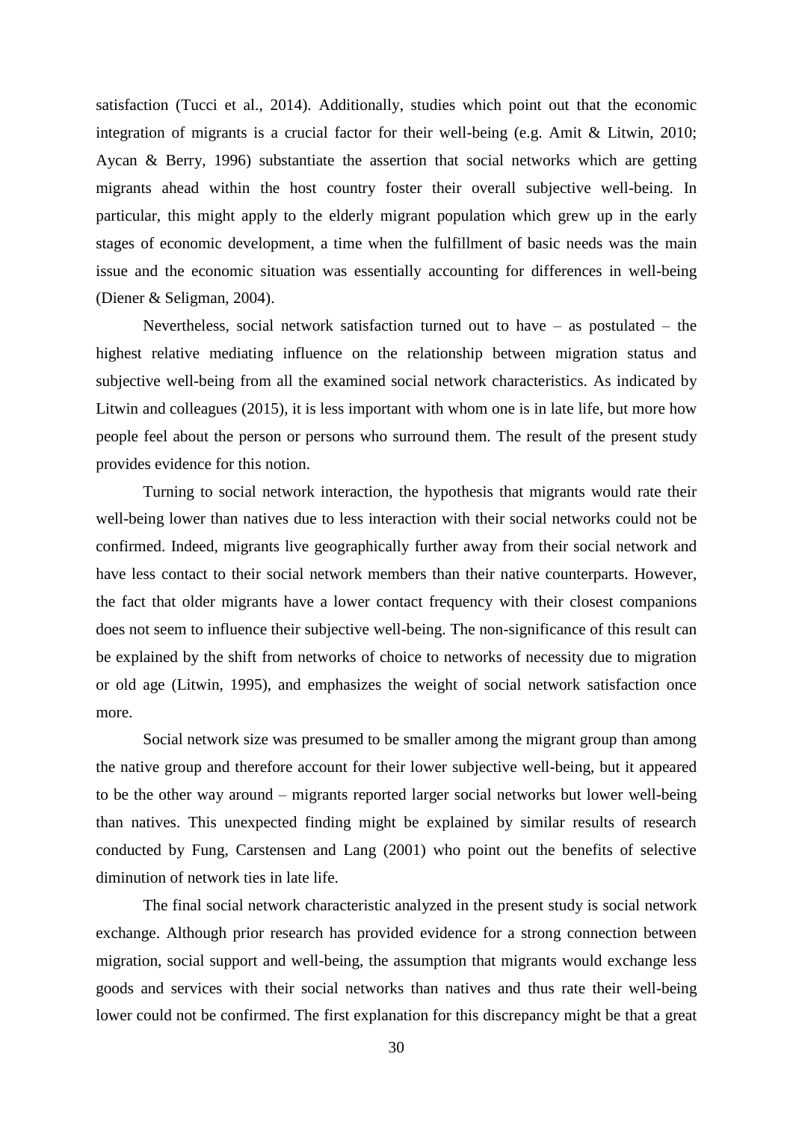satisfaction (Tucci et al., 2014). Additionally, studies which point out that the economic integration of migrants is a crucial factor for their well-being (e.g. Amit & Litwin, 2010; Aycan & Berry, 1996) substantiate the assertion that social networks which are getting migrants ahead within the host country foster their overall subjective well-being. In particular, this might apply to the elderly migrant population which grew up in the early stages of economic development, a time when the fulfillment of basic needs was the main issue and the economic situation was essentially accounting for differences in well-being (Diener & Seligman, 2004).

Nevertheless, social network satisfaction turned out to have – as postulated – the highest relative mediating influence on the relationship between migration status and subjective well-being from all the examined social network characteristics. As indicated by Litwin and colleagues (2015), it is less important with whom one is in late life, but more how people feel about the person or persons who surround them. The result of the present study provides evidence for this notion.

Turning to social network interaction, the hypothesis that migrants would rate their well-being lower than natives due to less interaction with their social networks could not be confirmed. Indeed, migrants live geographically further away from their social network and have less contact to their social network members than their native counterparts. However, the fact that older migrants have a lower contact frequency with their closest companions does not seem to influence their subjective well-being. The non-significance of this result can be explained by the shift from networks of choice to networks of necessity due to migration or old age (Litwin, 1995), and emphasizes the weight of social network satisfaction once more.

Social network size was presumed to be smaller among the migrant group than among the native group and therefore account for their lower subjective well-being, but it appeared to be the other way around – migrants reported larger social networks but lower well-being than natives. This unexpected finding might be explained by similar results of research conducted by Fung, Carstensen and Lang (2001) who point out the benefits of selective diminution of network ties in late life.

The final social network characteristic analyzed in the present study is social network exchange. Although prior research has provided evidence for a strong connection between migration, social support and well-being, the assumption that migrants would exchange less goods and services with their social networks than natives and thus rate their well-being lower could not be confirmed. The first explanation for this discrepancy might be that a great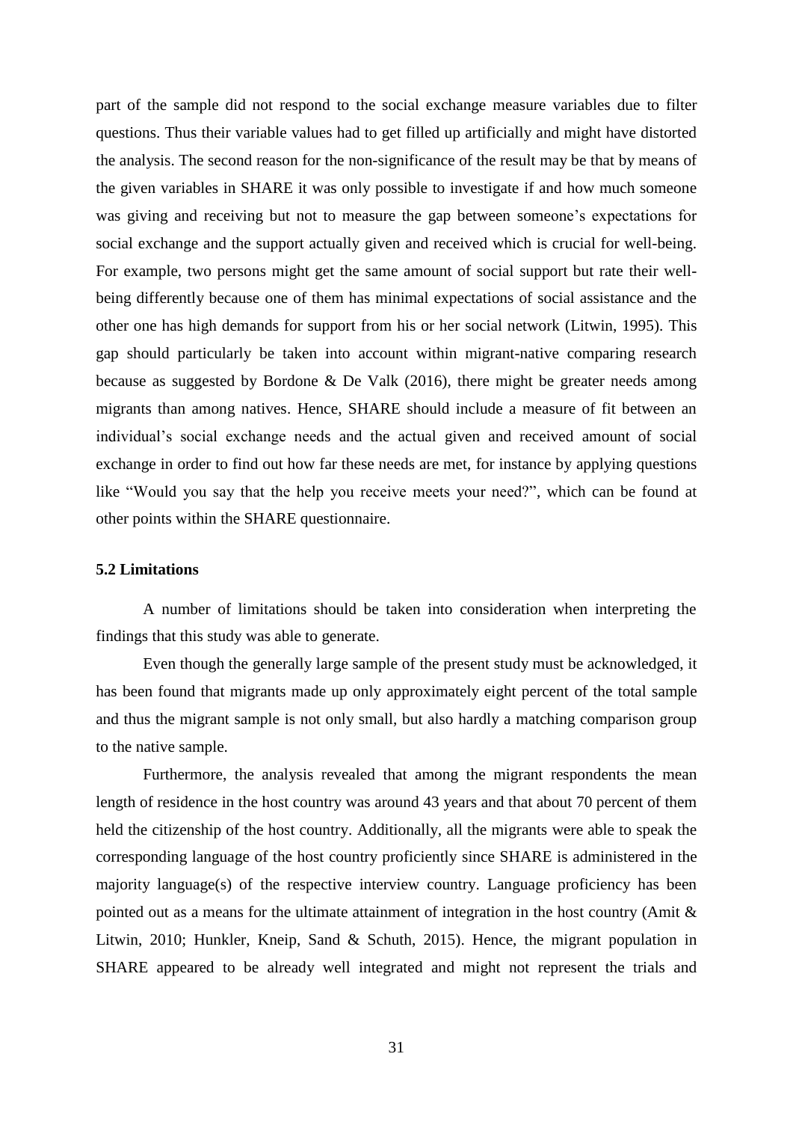part of the sample did not respond to the social exchange measure variables due to filter questions. Thus their variable values had to get filled up artificially and might have distorted the analysis. The second reason for the non-significance of the result may be that by means of the given variables in SHARE it was only possible to investigate if and how much someone was giving and receiving but not to measure the gap between someone's expectations for social exchange and the support actually given and received which is crucial for well-being. For example, two persons might get the same amount of social support but rate their wellbeing differently because one of them has minimal expectations of social assistance and the other one has high demands for support from his or her social network (Litwin, 1995). This gap should particularly be taken into account within migrant-native comparing research because as suggested by Bordone & De Valk (2016), there might be greater needs among migrants than among natives. Hence, SHARE should include a measure of fit between an individual's social exchange needs and the actual given and received amount of social exchange in order to find out how far these needs are met, for instance by applying questions like "Would you say that the help you receive meets your need?", which can be found at other points within the SHARE questionnaire.

#### **5.2 Limitations**

A number of limitations should be taken into consideration when interpreting the findings that this study was able to generate.

Even though the generally large sample of the present study must be acknowledged, it has been found that migrants made up only approximately eight percent of the total sample and thus the migrant sample is not only small, but also hardly a matching comparison group to the native sample.

Furthermore, the analysis revealed that among the migrant respondents the mean length of residence in the host country was around 43 years and that about 70 percent of them held the citizenship of the host country. Additionally, all the migrants were able to speak the corresponding language of the host country proficiently since SHARE is administered in the majority language(s) of the respective interview country. Language proficiency has been pointed out as a means for the ultimate attainment of integration in the host country (Amit & Litwin, 2010; Hunkler, Kneip, Sand & Schuth, 2015). Hence, the migrant population in SHARE appeared to be already well integrated and might not represent the trials and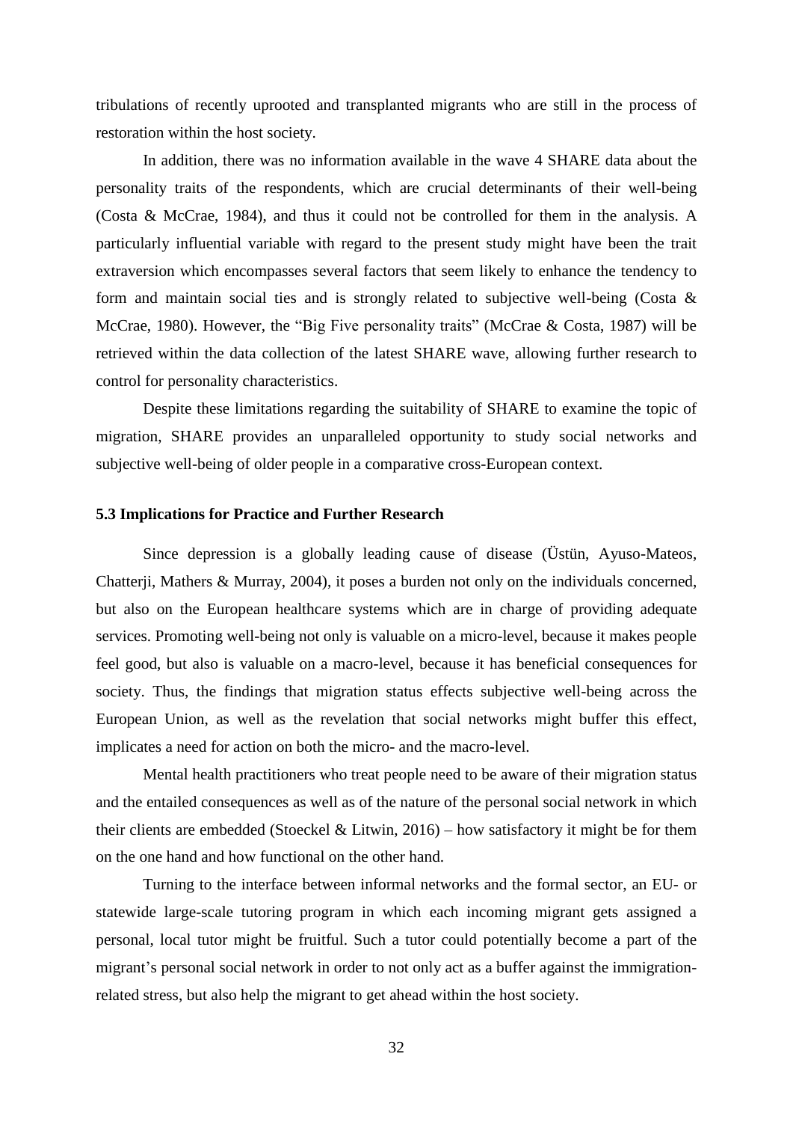tribulations of recently uprooted and transplanted migrants who are still in the process of restoration within the host society.

In addition, there was no information available in the wave 4 SHARE data about the personality traits of the respondents, which are crucial determinants of their well-being (Costa & McCrae, 1984), and thus it could not be controlled for them in the analysis. A particularly influential variable with regard to the present study might have been the trait extraversion which encompasses several factors that seem likely to enhance the tendency to form and maintain social ties and is strongly related to subjective well-being (Costa & McCrae, 1980). However, the "Big Five personality traits" (McCrae & Costa, 1987) will be retrieved within the data collection of the latest SHARE wave, allowing further research to control for personality characteristics.

Despite these limitations regarding the suitability of SHARE to examine the topic of migration, SHARE provides an unparalleled opportunity to study social networks and subjective well-being of older people in a comparative cross-European context.

#### **5.3 Implications for Practice and Further Research**

Since depression is a globally leading cause of disease (Üstün, Ayuso-Mateos, Chatterji, Mathers & Murray, 2004), it poses a burden not only on the individuals concerned, but also on the European healthcare systems which are in charge of providing adequate services. Promoting well-being not only is valuable on a micro-level, because it makes people feel good, but also is valuable on a macro-level, because it has beneficial consequences for society. Thus, the findings that migration status effects subjective well-being across the European Union, as well as the revelation that social networks might buffer this effect, implicates a need for action on both the micro- and the macro-level.

Mental health practitioners who treat people need to be aware of their migration status and the entailed consequences as well as of the nature of the personal social network in which their clients are embedded (Stoeckel & Litwin, 2016) – how satisfactory it might be for them on the one hand and how functional on the other hand.

Turning to the interface between informal networks and the formal sector, an EU- or statewide large-scale tutoring program in which each incoming migrant gets assigned a personal, local tutor might be fruitful. Such a tutor could potentially become a part of the migrant's personal social network in order to not only act as a buffer against the immigrationrelated stress, but also help the migrant to get ahead within the host society.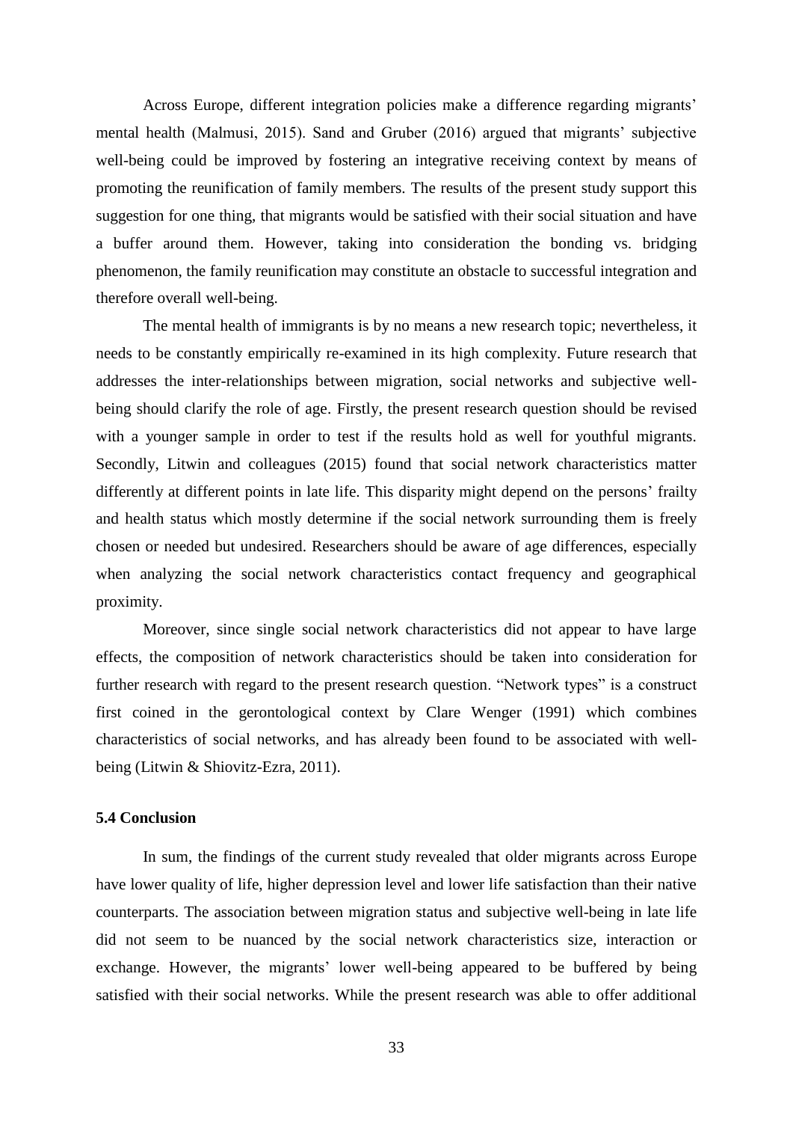Across Europe, different integration policies make a difference regarding migrants' mental health (Malmusi, 2015). Sand and Gruber (2016) argued that migrants' subjective well-being could be improved by fostering an integrative receiving context by means of promoting the reunification of family members. The results of the present study support this suggestion for one thing, that migrants would be satisfied with their social situation and have a buffer around them. However, taking into consideration the bonding vs. bridging phenomenon, the family reunification may constitute an obstacle to successful integration and therefore overall well-being.

The mental health of immigrants is by no means a new research topic; nevertheless, it needs to be constantly empirically re-examined in its high complexity. Future research that addresses the inter-relationships between migration, social networks and subjective wellbeing should clarify the role of age. Firstly, the present research question should be revised with a younger sample in order to test if the results hold as well for youthful migrants. Secondly, Litwin and colleagues (2015) found that social network characteristics matter differently at different points in late life. This disparity might depend on the persons' frailty and health status which mostly determine if the social network surrounding them is freely chosen or needed but undesired. Researchers should be aware of age differences, especially when analyzing the social network characteristics contact frequency and geographical proximity.

Moreover, since single social network characteristics did not appear to have large effects, the composition of network characteristics should be taken into consideration for further research with regard to the present research question. "Network types" is a construct first coined in the gerontological context by Clare Wenger (1991) which combines characteristics of social networks, and has already been found to be associated with wellbeing (Litwin & Shiovitz-Ezra, 2011).

#### **5.4 Conclusion**

In sum, the findings of the current study revealed that older migrants across Europe have lower quality of life, higher depression level and lower life satisfaction than their native counterparts. The association between migration status and subjective well-being in late life did not seem to be nuanced by the social network characteristics size, interaction or exchange. However, the migrants' lower well-being appeared to be buffered by being satisfied with their social networks. While the present research was able to offer additional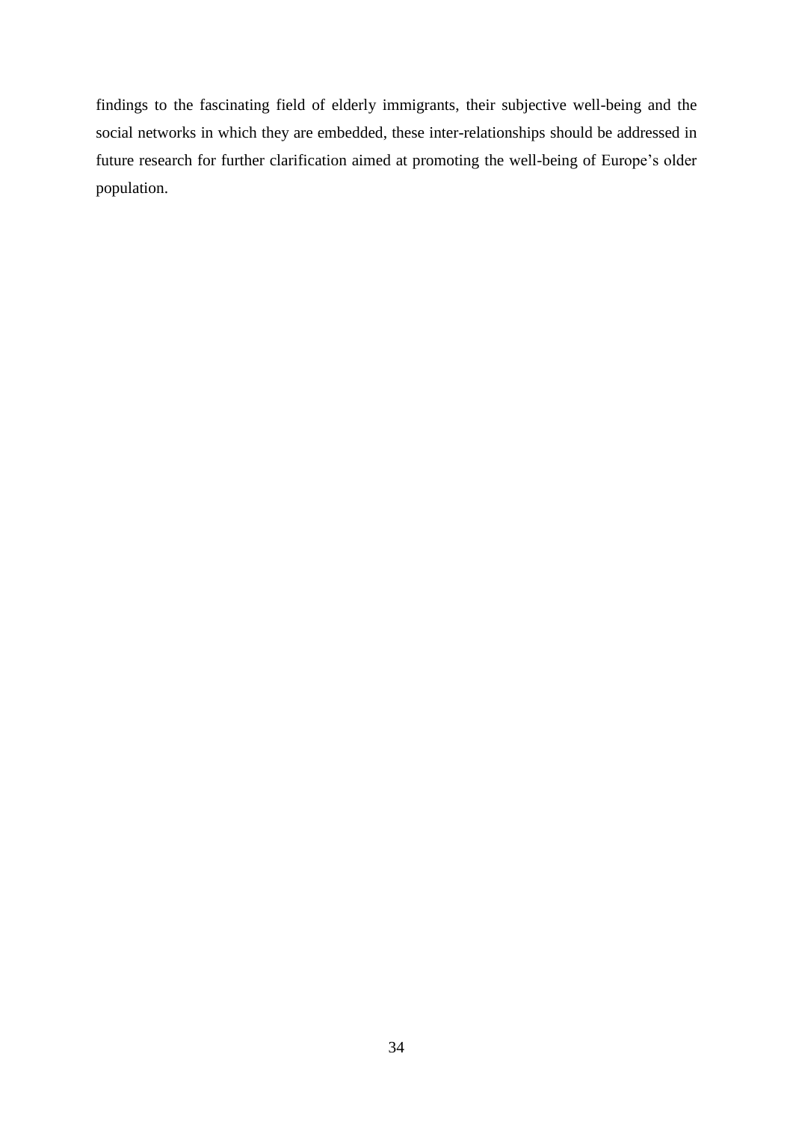findings to the fascinating field of elderly immigrants, their subjective well-being and the social networks in which they are embedded, these inter-relationships should be addressed in future research for further clarification aimed at promoting the well-being of Europe's older population.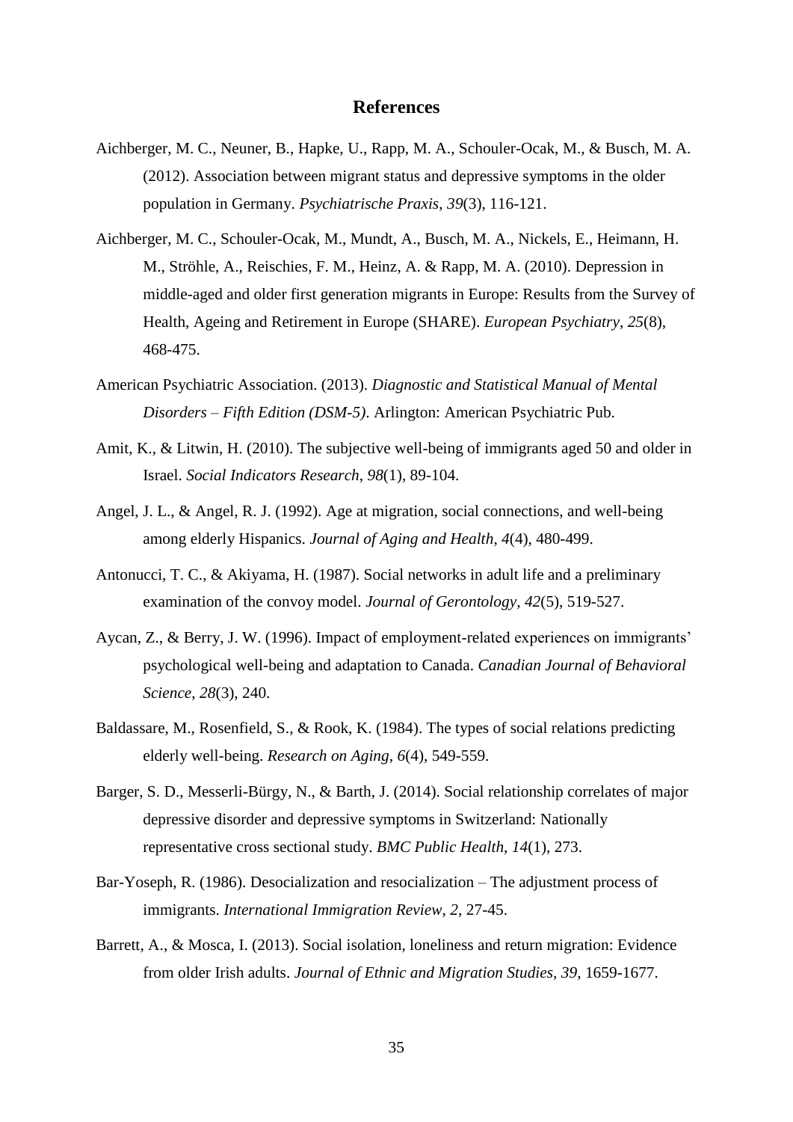#### **References**

- Aichberger, M. C., Neuner, B., Hapke, U., Rapp, M. A., Schouler-Ocak, M., & Busch, M. A. (2012). Association between migrant status and depressive symptoms in the older population in Germany. *Psychiatrische Praxis*, *39*(3), 116-121.
- Aichberger, M. C., Schouler-Ocak, M., Mundt, A., Busch, M. A., Nickels, E., Heimann, H. M., Ströhle, A., Reischies, F. M., Heinz, A. & Rapp, M. A. (2010). Depression in middle-aged and older first generation migrants in Europe: Results from the Survey of Health, Ageing and Retirement in Europe (SHARE). *European Psychiatry*, *25*(8), 468-475.
- American Psychiatric Association. (2013). *Diagnostic and Statistical Manual of Mental Disorders – Fifth Edition (DSM-5)*. Arlington: American Psychiatric Pub.
- Amit, K., & Litwin, H. (2010). The subjective well-being of immigrants aged 50 and older in Israel. *Social Indicators Research*, *98*(1), 89-104.
- Angel, J. L., & Angel, R. J. (1992). Age at migration, social connections, and well-being among elderly Hispanics. *Journal of Aging and Health*, *4*(4), 480-499.
- Antonucci, T. C., & Akiyama, H. (1987). Social networks in adult life and a preliminary examination of the convoy model. *Journal of Gerontology*, *42*(5), 519-527.
- Aycan, Z., & Berry, J. W. (1996). Impact of employment-related experiences on immigrants' psychological well-being and adaptation to Canada. *Canadian Journal of Behavioral Science*, *28*(3), 240.
- Baldassare, M., Rosenfield, S., & Rook, K. (1984). The types of social relations predicting elderly well-being. *Research on Aging*, *6*(4), 549-559.
- Barger, S. D., Messerli-Bürgy, N., & Barth, J. (2014). Social relationship correlates of major depressive disorder and depressive symptoms in Switzerland: Nationally representative cross sectional study. *BMC Public Health*, *14*(1), 273.
- Bar-Yoseph, R. (1986). Desocialization and resocialization The adjustment process of immigrants. *International Immigration Review*, *2*, 27-45.
- Barrett, A., & Mosca, I. (2013). Social isolation, loneliness and return migration: Evidence from older Irish adults. *Journal of Ethnic and Migration Studies, 39*, 1659-1677.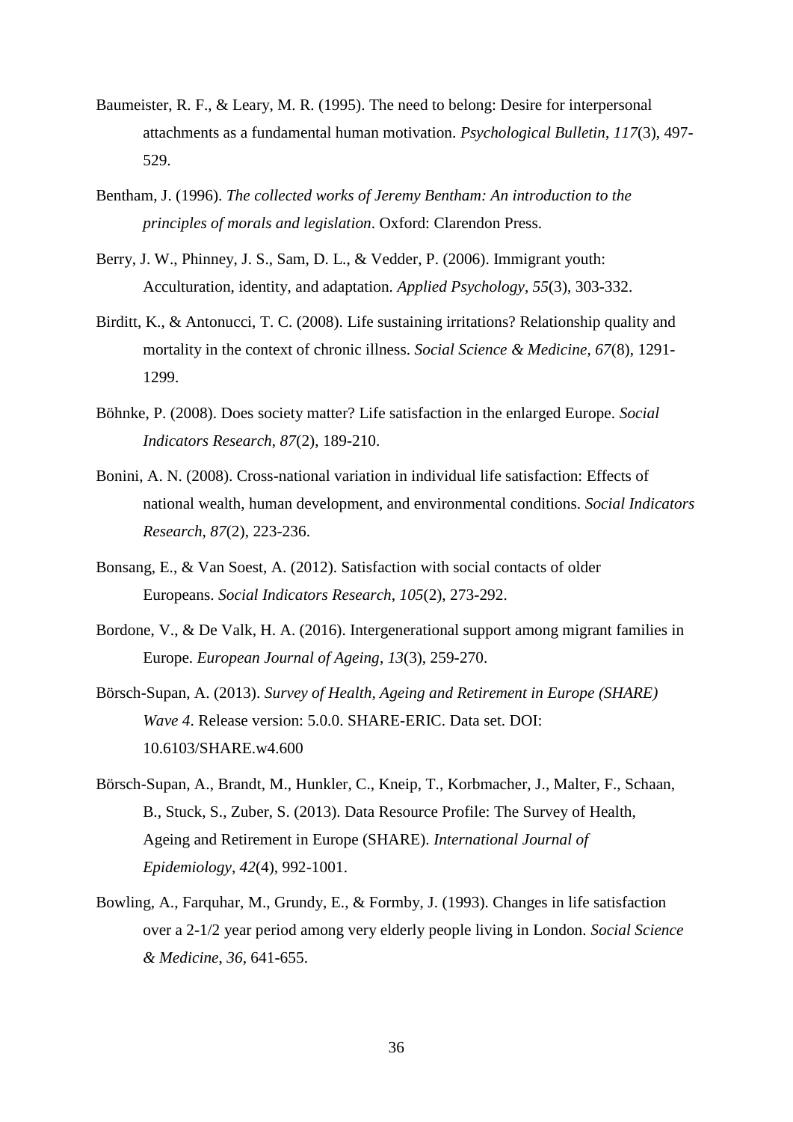- Baumeister, R. F., & Leary, M. R. (1995). The need to belong: Desire for interpersonal attachments as a fundamental human motivation. *Psychological Bulletin*, *117*(3), 497- 529.
- Bentham, J. (1996). *The collected works of Jeremy Bentham: An introduction to the principles of morals and legislation*. Oxford: Clarendon Press.
- Berry, J. W., Phinney, J. S., Sam, D. L., & Vedder, P. (2006). Immigrant youth: Acculturation, identity, and adaptation. *Applied Psychology*, *55*(3), 303-332.
- Birditt, K., & Antonucci, T. C. (2008). Life sustaining irritations? Relationship quality and mortality in the context of chronic illness. *Social Science & Medicine*, *67*(8), 1291- 1299.
- Böhnke, P. (2008). Does society matter? Life satisfaction in the enlarged Europe. *Social Indicators Research*, *87*(2), 189-210.
- Bonini, A. N. (2008). Cross-national variation in individual life satisfaction: Effects of national wealth, human development, and environmental conditions. *Social Indicators Research*, *87*(2), 223-236.
- Bonsang, E., & Van Soest, A. (2012). Satisfaction with social contacts of older Europeans. *Social Indicators Research*, *105*(2), 273-292.
- Bordone, V., & De Valk, H. A. (2016). Intergenerational support among migrant families in Europe. *European Journal of Ageing*, *13*(3), 259-270.
- Börsch-Supan, A. (2013). *Survey of Health, Ageing and Retirement in Europe (SHARE) Wave 4*. Release version: 5.0.0. SHARE-ERIC. Data set. DOI: 10.6103/SHARE.w4.600
- Börsch-Supan, A., Brandt, M., Hunkler, C., Kneip, T., Korbmacher, J., Malter, F., Schaan, B., Stuck, S., Zuber, S. (2013). Data Resource Profile: The Survey of Health, Ageing and Retirement in Europe (SHARE). *International Journal of Epidemiology*, *42*(4), 992-1001.
- Bowling, A., Farquhar, M., Grundy, E., & Formby, J. (1993). Changes in life satisfaction over a 2-1/2 year period among very elderly people living in London. *Social Science & Medicine*, *36*, 641-655.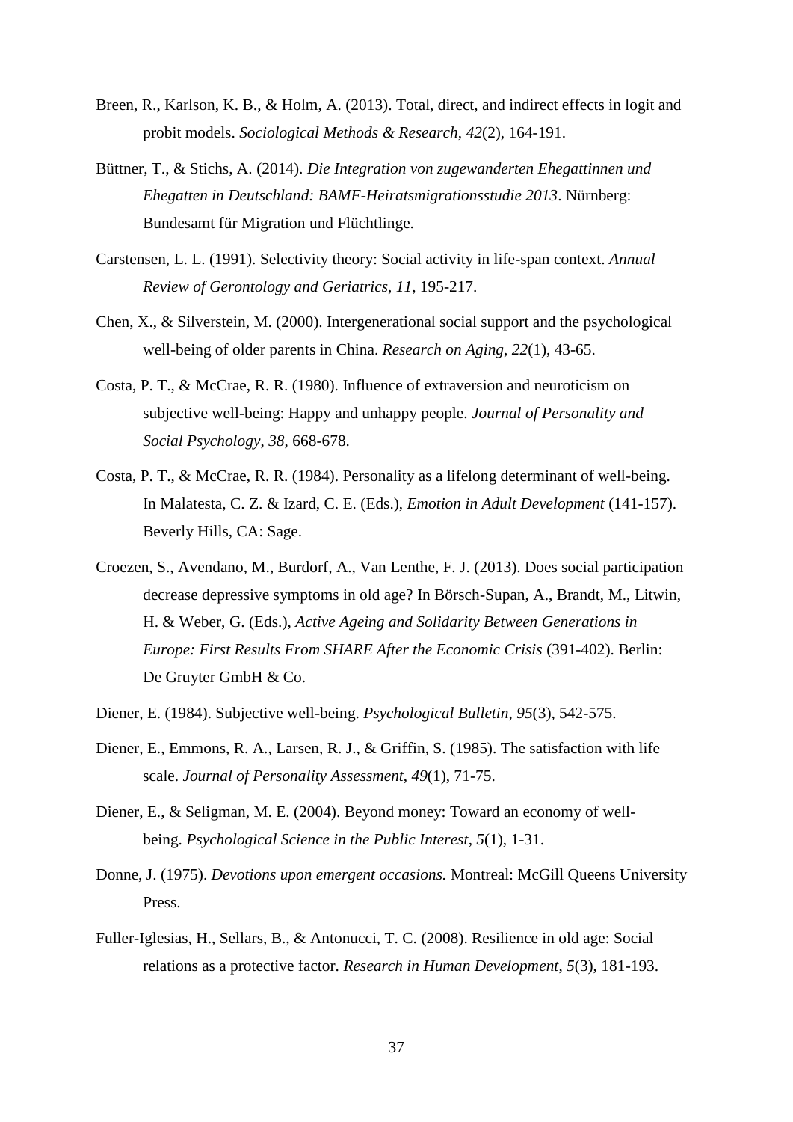- Breen, R., Karlson, K. B., & Holm, A. (2013). Total, direct, and indirect effects in logit and probit models. *Sociological Methods & Research*, *42*(2), 164-191.
- Büttner, T., & Stichs, A. (2014). *Die Integration von zugewanderten Ehegattinnen und Ehegatten in Deutschland: BAMF-Heiratsmigrationsstudie 2013*. Nürnberg: Bundesamt für Migration und Flüchtlinge.
- Carstensen, L. L. (1991). Selectivity theory: Social activity in life-span context. *Annual Review of Gerontology and Geriatrics*, *11*, 195-217.
- Chen, X., & Silverstein, M. (2000). Intergenerational social support and the psychological well-being of older parents in China. *Research on Aging*, *22*(1), 43-65.
- Costa, P. T., & McCrae, R. R. (1980). Influence of extraversion and neuroticism on subjective well-being: Happy and unhappy people. *Journal of Personality and Social Psychology*, *38*, 668-678.
- Costa, P. T., & McCrae, R. R. (1984). Personality as a lifelong determinant of well-being. In Malatesta, C. Z. & Izard, C. E. (Eds.), *Emotion in Adult Development* (141-157). Beverly Hills, CA: Sage.
- Croezen, S., Avendano, M., Burdorf, A., Van Lenthe, F. J. (2013). Does social participation decrease depressive symptoms in old age? In Börsch-Supan, A., Brandt, M., Litwin, H. & Weber, G. (Eds.), *Active Ageing and Solidarity Between Generations in Europe: First Results From SHARE After the Economic Crisis* (391-402). Berlin: De Gruyter GmbH & Co.
- Diener, E. (1984). Subjective well-being. *Psychological Bulletin*, *95*(3), 542-575.
- Diener, E., Emmons, R. A., Larsen, R. J., & Griffin, S. (1985). The satisfaction with life scale. *Journal of Personality Assessment*, *49*(1), 71-75.
- Diener, E., & Seligman, M. E. (2004). Beyond money: Toward an economy of wellbeing. *Psychological Science in the Public Interest*, *5*(1), 1-31.
- Donne, J. (1975). *Devotions upon emergent occasions.* Montreal: McGill Queens University Press.
- Fuller-Iglesias, H., Sellars, B., & Antonucci, T. C. (2008). Resilience in old age: Social relations as a protective factor. *Research in Human Development*, *5*(3), 181-193.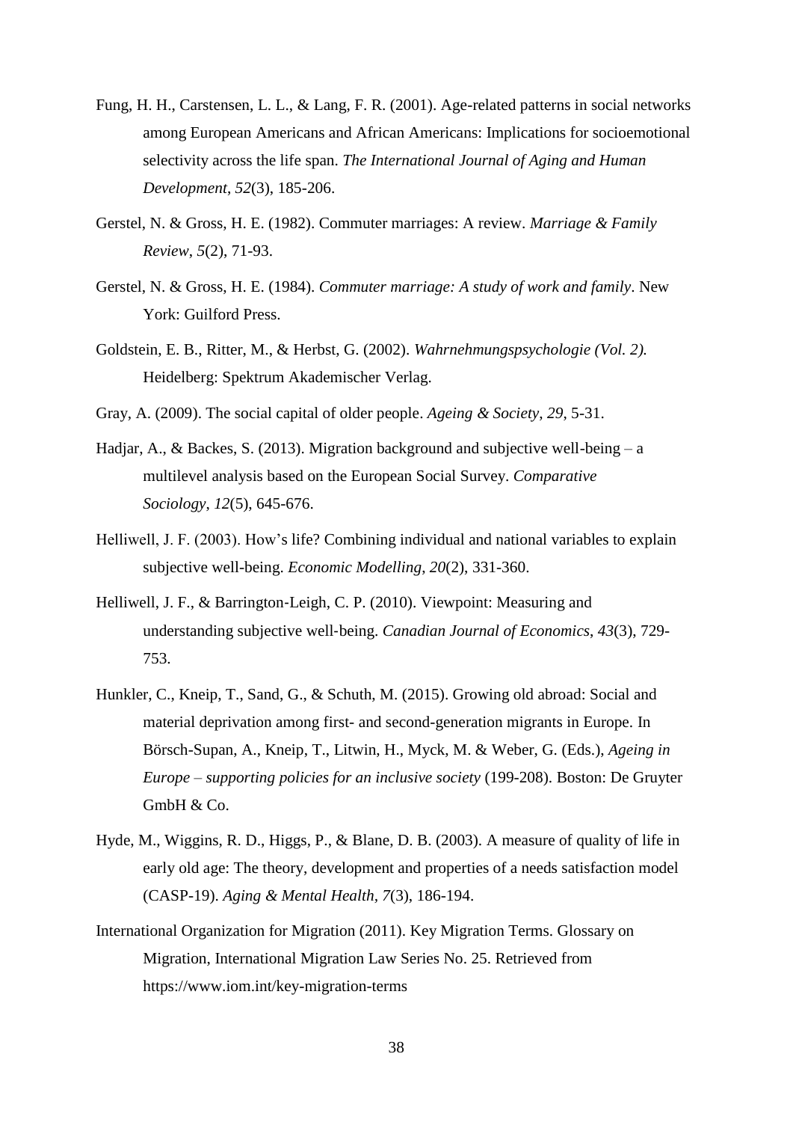- Fung, H. H., Carstensen, L. L., & Lang, F. R. (2001). Age-related patterns in social networks among European Americans and African Americans: Implications for socioemotional selectivity across the life span. *The International Journal of Aging and Human Development*, *52*(3), 185-206.
- Gerstel, N. & Gross, H. E. (1982). Commuter marriages: A review. *Marriage & Family Review*, *5*(2), 71-93.
- Gerstel, N. & Gross, H. E. (1984). *Commuter marriage: A study of work and family*. New York: Guilford Press.
- Goldstein, E. B., Ritter, M., & Herbst, G. (2002). *Wahrnehmungspsychologie (Vol. 2).* Heidelberg: Spektrum Akademischer Verlag.
- Gray, A. (2009). The social capital of older people. *Ageing & Society*, *29*, 5-31.
- Hadjar, A., & Backes, S. (2013). Migration background and subjective well-being a multilevel analysis based on the European Social Survey. *Comparative Sociology*, *12*(5), 645-676.
- Helliwell, J. F. (2003). How's life? Combining individual and national variables to explain subjective well-being. *Economic Modelling*, *20*(2), 331-360.
- Helliwell, J. F., & Barrington-Leigh, C. P. (2010). Viewpoint: Measuring and understanding subjective well‐being. *Canadian Journal of Economics*, *43*(3), 729- 753.
- Hunkler, C., Kneip, T., Sand, G., & Schuth, M. (2015). Growing old abroad: Social and material deprivation among first- and second-generation migrants in Europe. In Börsch-Supan, A., Kneip, T., Litwin, H., Myck, M. & Weber, G. (Eds.), *Ageing in Europe – supporting policies for an inclusive society* (199-208). Boston: De Gruyter GmbH & Co.
- Hyde, M., Wiggins, R. D., Higgs, P., & Blane, D. B. (2003). A measure of quality of life in early old age: The theory, development and properties of a needs satisfaction model (CASP-19). *Aging & Mental Health, 7*(3), 186-194.
- International Organization for Migration (2011). Key Migration Terms. Glossary on Migration, International Migration Law Series No. 25. Retrieved from <https://www.iom.int/key-migration-terms>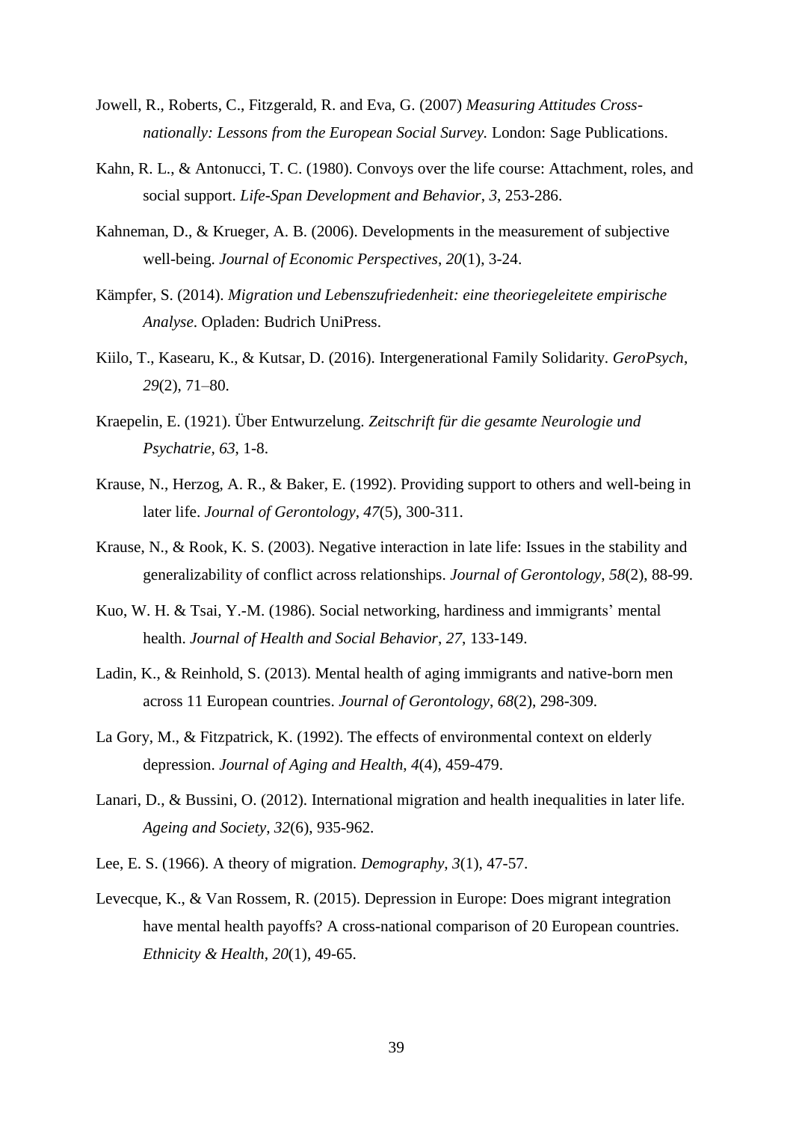- Jowell, R., Roberts, C., Fitzgerald, R. and Eva, G. (2007) *Measuring Attitudes Crossnationally: Lessons from the European Social Survey.* London: Sage Publications.
- Kahn, R. L., & Antonucci, T. C. (1980). Convoys over the life course: Attachment, roles, and social support. *Life-Span Development and Behavior*, *3*, 253-286.
- Kahneman, D., & Krueger, A. B. (2006). Developments in the measurement of subjective well-being. *Journal of Economic Perspectives*, *20*(1), 3-24.
- Kämpfer, S. (2014). *Migration und Lebenszufriedenheit: eine theoriegeleitete empirische Analyse*. Opladen: Budrich UniPress.
- Kiilo, T., Kasearu, K., & Kutsar, D. (2016). Intergenerational Family Solidarity. *GeroPsych*, *29*(2), 71–80.
- Kraepelin, E. (1921). Über Entwurzelung. *Zeitschrift für die gesamte Neurologie und Psychatrie, 63*, 1-8.
- Krause, N., Herzog, A. R., & Baker, E. (1992). Providing support to others and well-being in later life. *Journal of Gerontology*, *47*(5), 300-311.
- Krause, N., & Rook, K. S. (2003). Negative interaction in late life: Issues in the stability and generalizability of conflict across relationships. *Journal of Gerontology*, *58*(2), 88-99.
- Kuo, W. H. & Tsai, Y.-M. (1986). Social networking, hardiness and immigrants' mental health. *Journal of Health and Social Behavior*, *27*, 133-149.
- Ladin, K., & Reinhold, S. (2013). Mental health of aging immigrants and native-born men across 11 European countries. *Journal of Gerontology*, *68*(2), 298-309.
- La Gory, M., & Fitzpatrick, K. (1992). The effects of environmental context on elderly depression. *Journal of Aging and Health*, *4*(4), 459-479.
- Lanari, D., & Bussini, O. (2012). International migration and health inequalities in later life. *Ageing and Society*, *32*(6), 935-962.
- Lee, E. S. (1966). A theory of migration. *Demography*, *3*(1), 47-57.
- Levecque, K., & Van Rossem, R. (2015). Depression in Europe: Does migrant integration have mental health payoffs? A cross-national comparison of 20 European countries. *Ethnicity & Health*, *20*(1), 49-65.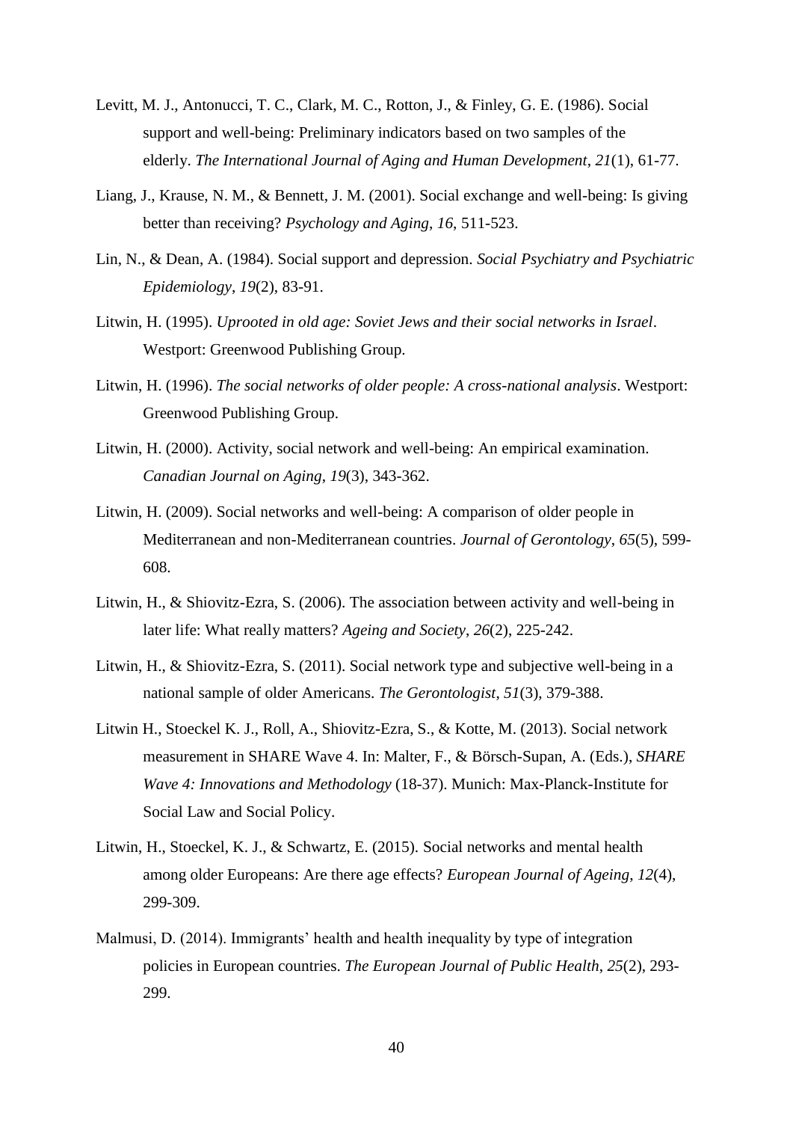- Levitt, M. J., Antonucci, T. C., Clark, M. C., Rotton, J., & Finley, G. E. (1986). Social support and well-being: Preliminary indicators based on two samples of the elderly. *The International Journal of Aging and Human Development*, *21*(1), 61-77.
- Liang, J., Krause, N. M., & Bennett, J. M. (2001). Social exchange and well-being: Is giving better than receiving? *Psychology and Aging*, *16*, 511-523.
- Lin, N., & Dean, A. (1984). Social support and depression. *Social Psychiatry and Psychiatric Epidemiology*, *19*(2), 83-91.
- Litwin, H. (1995). *Uprooted in old age: Soviet Jews and their social networks in Israel*. Westport: Greenwood Publishing Group.
- Litwin, H. (1996). *The social networks of older people: A cross-national analysis*. Westport: Greenwood Publishing Group.
- Litwin, H. (2000). Activity, social network and well-being: An empirical examination. *Canadian Journal on Aging*, *19*(3), 343-362.
- Litwin, H. (2009). Social networks and well-being: A comparison of older people in Mediterranean and non-Mediterranean countries. *Journal of Gerontology*, *65*(5), 599- 608.
- Litwin, H., & Shiovitz-Ezra, S. (2006). The association between activity and well-being in later life: What really matters? *Ageing and Society*, *26*(2), 225-242.
- Litwin, H., & Shiovitz-Ezra, S. (2011). Social network type and subjective well-being in a national sample of older Americans. *The Gerontologist*, *51*(3), 379-388.
- Litwin H., Stoeckel K. J., Roll, A., Shiovitz-Ezra, S., & Kotte, M. (2013). Social network measurement in SHARE Wave 4. In: Malter, F., & Börsch-Supan, A. (Eds.), *SHARE Wave 4: Innovations and Methodology* (18-37). Munich: Max-Planck-Institute for Social Law and Social Policy.
- Litwin, H., Stoeckel, K. J., & Schwartz, E. (2015). Social networks and mental health among older Europeans: Are there age effects? *European Journal of Ageing*, *12*(4), 299-309.
- Malmusi, D. (2014). Immigrants' health and health inequality by type of integration policies in European countries. *The European Journal of Public Health*, *25*(2), 293- 299.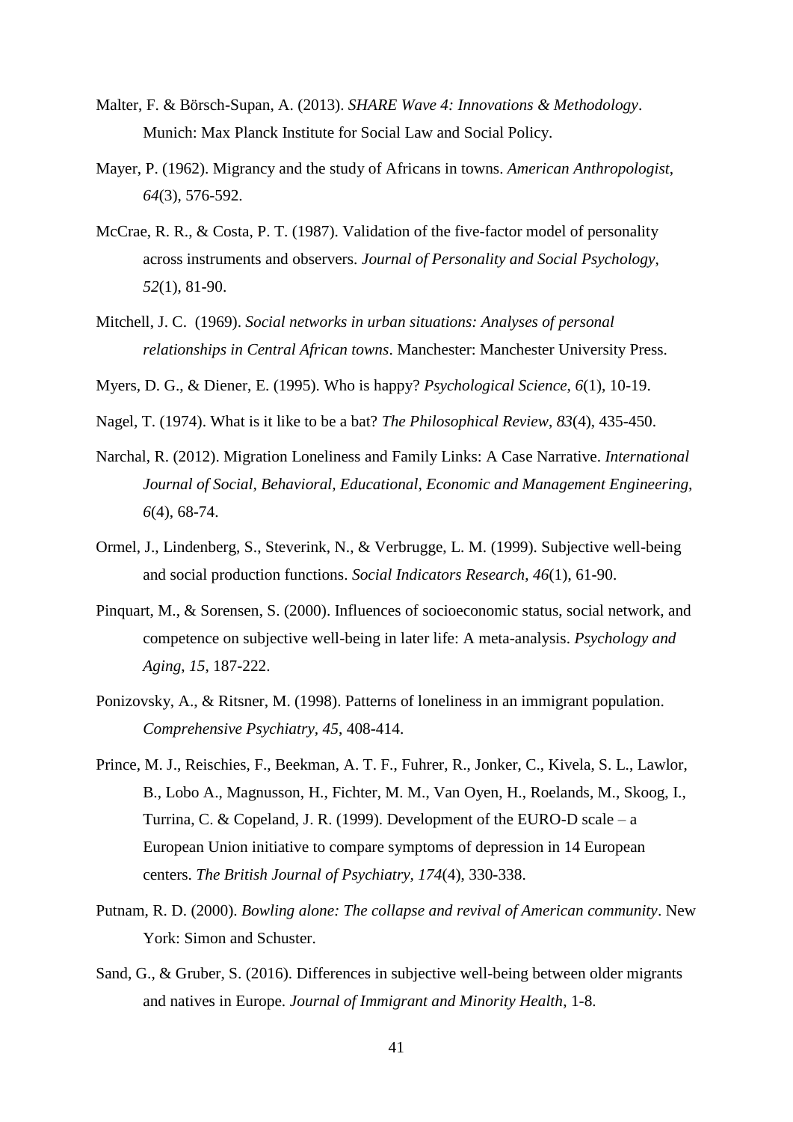- Malter, F. & Börsch-Supan, A. (2013). *SHARE Wave 4: Innovations & Methodology*. Munich: Max Planck Institute for Social Law and Social Policy.
- Mayer, P. (1962). Migrancy and the study of Africans in towns. *American Anthropologist*, *64*(3), 576-592.
- McCrae, R. R., & Costa, P. T. (1987). Validation of the five-factor model of personality across instruments and observers. *Journal of Personality and Social Psychology*, *52*(1), 81-90.
- Mitchell, J. C. (1969). *Social networks in urban situations: Analyses of personal relationships in Central African towns*. Manchester: Manchester University Press.
- Myers, D. G., & Diener, E. (1995). Who is happy? *Psychological Science*, *6*(1), 10-19.
- Nagel, T. (1974). What is it like to be a bat? *The Philosophical Review*, *83*(4), 435-450.
- Narchal, R. (2012). Migration Loneliness and Family Links: A Case Narrative. *International Journal of Social, Behavioral, Educational, Economic and Management Engineering, 6*(4), 68-74.
- Ormel, J., Lindenberg, S., Steverink, N., & Verbrugge, L. M. (1999). Subjective well-being and social production functions. *Social Indicators Research*, *46*(1), 61-90.
- Pinquart, M., & Sorensen, S. (2000). Influences of socioeconomic status, social network, and competence on subjective well-being in later life: A meta-analysis. *Psychology and Aging*, *15*, 187-222.
- Ponizovsky, A., & Ritsner, M. (1998). Patterns of loneliness in an immigrant population. *Comprehensive Psychiatry, 45*, 408-414.
- Prince, M. J., Reischies, F., Beekman, A. T. F., Fuhrer, R., Jonker, C., Kivela, S. L., Lawlor, B., Lobo A., Magnusson, H., Fichter, M. M., Van Oyen, H., Roelands, M., Skoog, I., Turrina, C. & Copeland, J. R. (1999). Development of the EURO-D scale – a European Union initiative to compare symptoms of depression in 14 European centers. *The British Journal of Psychiatry, 174*(4), 330-338.
- Putnam, R. D. (2000). *Bowling alone: The collapse and revival of American community*. New York: Simon and Schuster.
- Sand, G., & Gruber, S. (2016). Differences in subjective well-being between older migrants and natives in Europe. *Journal of Immigrant and Minority Health*, 1-8.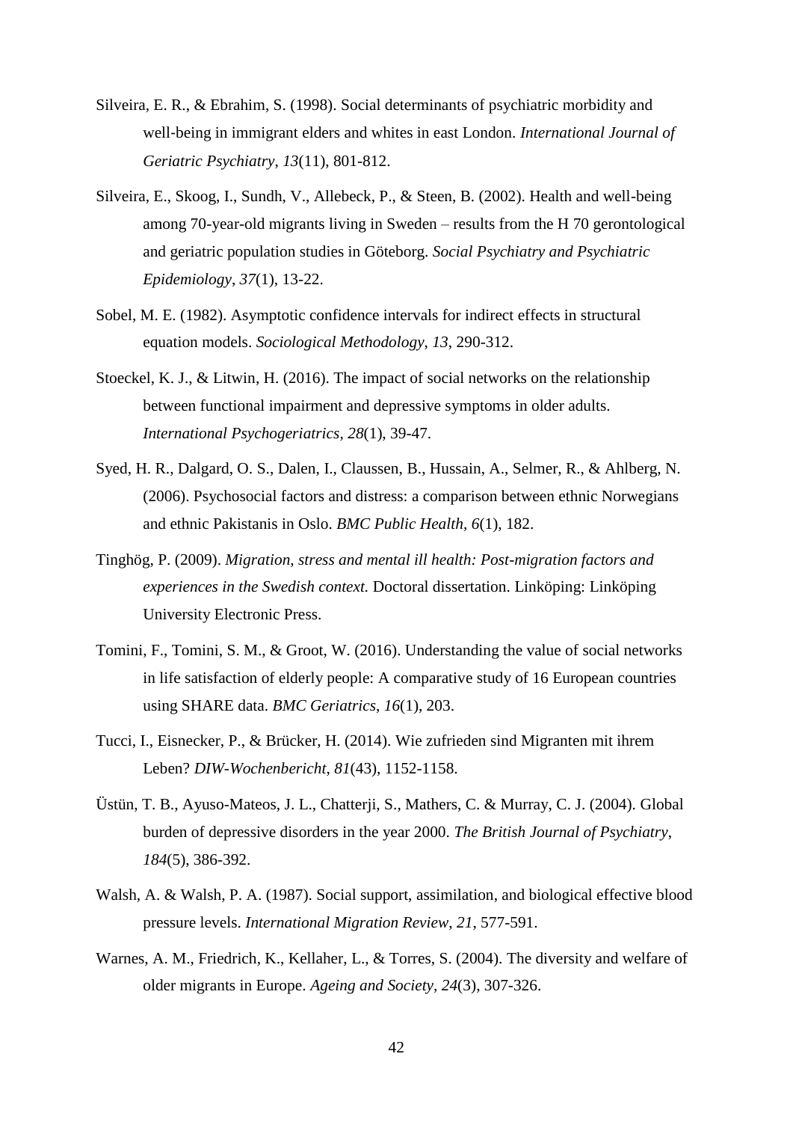- Silveira, E. R., & Ebrahim, S. (1998). Social determinants of psychiatric morbidity and well-being in immigrant elders and whites in east London. *International Journal of Geriatric Psychiatry*, *13*(11), 801-812.
- Silveira, E., Skoog, I., Sundh, V., Allebeck, P., & Steen, B. (2002). Health and well-being among 70-year-old migrants living in Sweden – results from the H 70 gerontological and geriatric population studies in Göteborg. *Social Psychiatry and Psychiatric Epidemiology*, *37*(1), 13-22.
- Sobel, M. E. (1982). Asymptotic confidence intervals for indirect effects in structural equation models. *Sociological Methodology*, *13*, 290-312.
- Stoeckel, K. J., & Litwin, H. (2016). The impact of social networks on the relationship between functional impairment and depressive symptoms in older adults. *International Psychogeriatrics*, *28*(1), 39-47.
- Syed, H. R., Dalgard, O. S., Dalen, I., Claussen, B., Hussain, A., Selmer, R., & Ahlberg, N. (2006). Psychosocial factors and distress: a comparison between ethnic Norwegians and ethnic Pakistanis in Oslo. *BMC Public Health*, *6*(1), 182.
- Tinghög, P. (2009). *Migration, stress and mental ill health: Post-migration factors and experiences in the Swedish context.* Doctoral dissertation. Linköping: Linköping University Electronic Press.
- Tomini, F., Tomini, S. M., & Groot, W. (2016). Understanding the value of social networks in life satisfaction of elderly people: A comparative study of 16 European countries using SHARE data. *BMC Geriatrics*, *16*(1), 203.
- Tucci, I., Eisnecker, P., & Brücker, H. (2014). Wie zufrieden sind Migranten mit ihrem Leben? *DIW-Wochenbericht*, *81*(43), 1152-1158.
- Üstün, T. B., Ayuso-Mateos, J. L., Chatterji, S., Mathers, C. & Murray, C. J. (2004). Global burden of depressive disorders in the year 2000. *The British Journal of Psychiatry*, *184*(5), 386-392.
- Walsh, A. & Walsh, P. A. (1987). Social support, assimilation, and biological effective blood pressure levels. *International Migration Review*, *21*, 577-591.
- Warnes, A. M., Friedrich, K., Kellaher, L., & Torres, S. (2004). The diversity and welfare of older migrants in Europe. *Ageing and Society*, *24*(3), 307-326.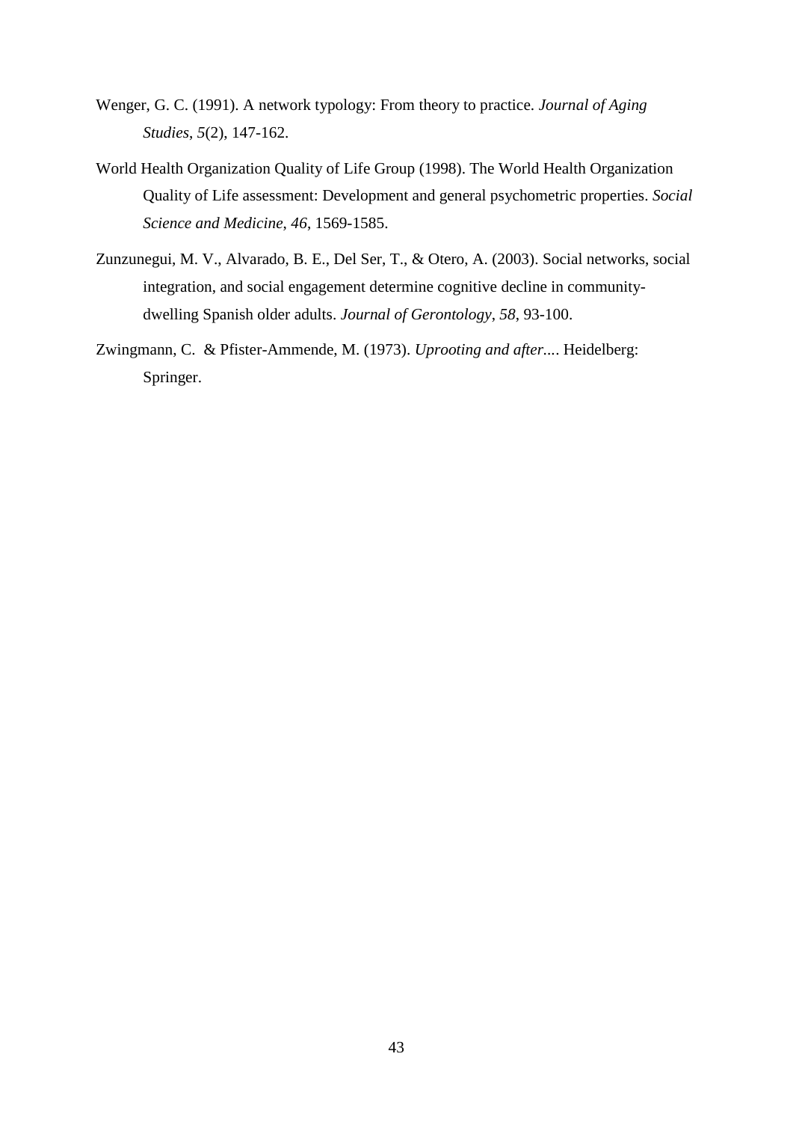- Wenger, G. C. (1991). A network typology: From theory to practice. *Journal of Aging Studies*, *5*(2), 147-162.
- World Health Organization Quality of Life Group (1998). The World Health Organization Quality of Life assessment: Development and general psychometric properties. *Social Science and Medicine*, *46*, 1569-1585.
- Zunzunegui, M. V., Alvarado, B. E., Del Ser, T., & Otero, A. (2003). Social networks, social integration, and social engagement determine cognitive decline in communitydwelling Spanish older adults. *Journal of Gerontology*, *58*, 93-100.
- Zwingmann, C. & Pfister-Ammende, M. (1973). *Uprooting and after...*. Heidelberg: Springer.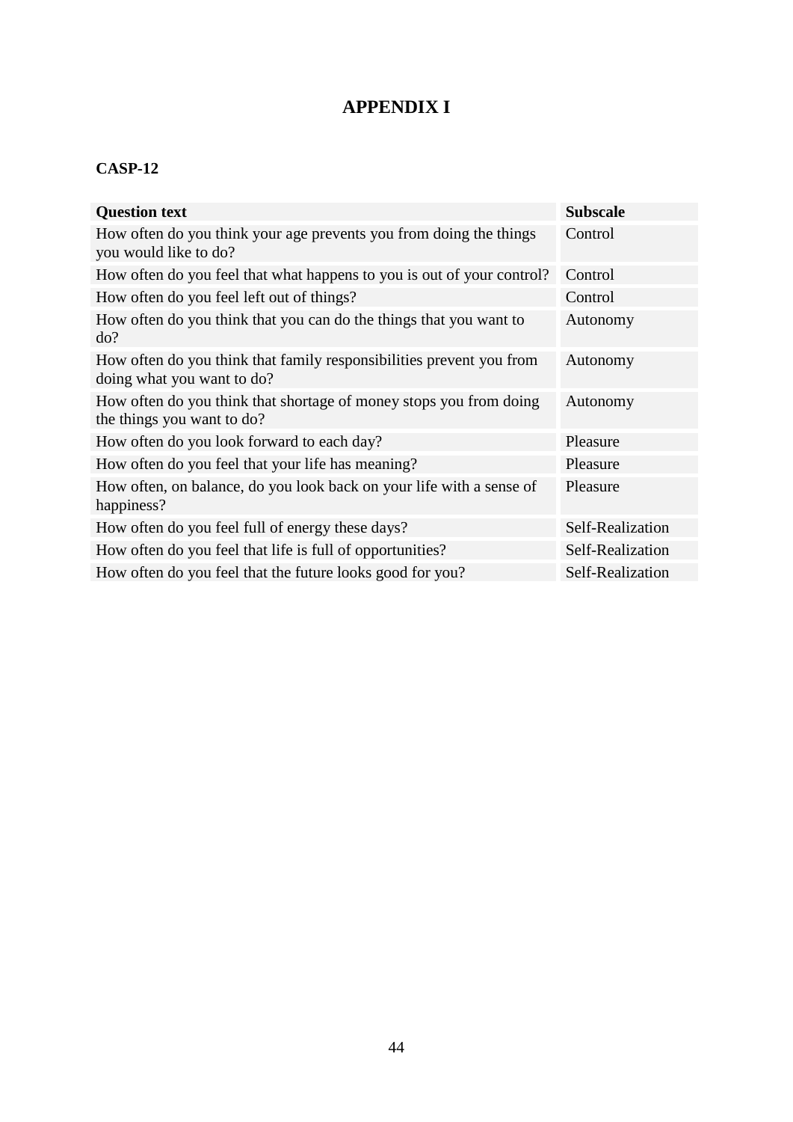# **APPENDIX I**

# **CASP-12**

| <b>Question text</b>                                                                               | <b>Subscale</b>  |
|----------------------------------------------------------------------------------------------------|------------------|
| How often do you think your age prevents you from doing the things<br>you would like to do?        | Control          |
| How often do you feel that what happens to you is out of your control?                             | Control          |
| How often do you feel left out of things?                                                          | Control          |
| How often do you think that you can do the things that you want to<br>do?                          | Autonomy         |
| How often do you think that family responsibilities prevent you from<br>doing what you want to do? | Autonomy         |
| How often do you think that shortage of money stops you from doing<br>the things you want to do?   | Autonomy         |
| How often do you look forward to each day?                                                         | Pleasure         |
| How often do you feel that your life has meaning?                                                  | Pleasure         |
| How often, on balance, do you look back on your life with a sense of<br>happiness?                 | Pleasure         |
| How often do you feel full of energy these days?                                                   | Self-Realization |
| How often do you feel that life is full of opportunities?                                          | Self-Realization |
| How often do you feel that the future looks good for you?                                          | Self-Realization |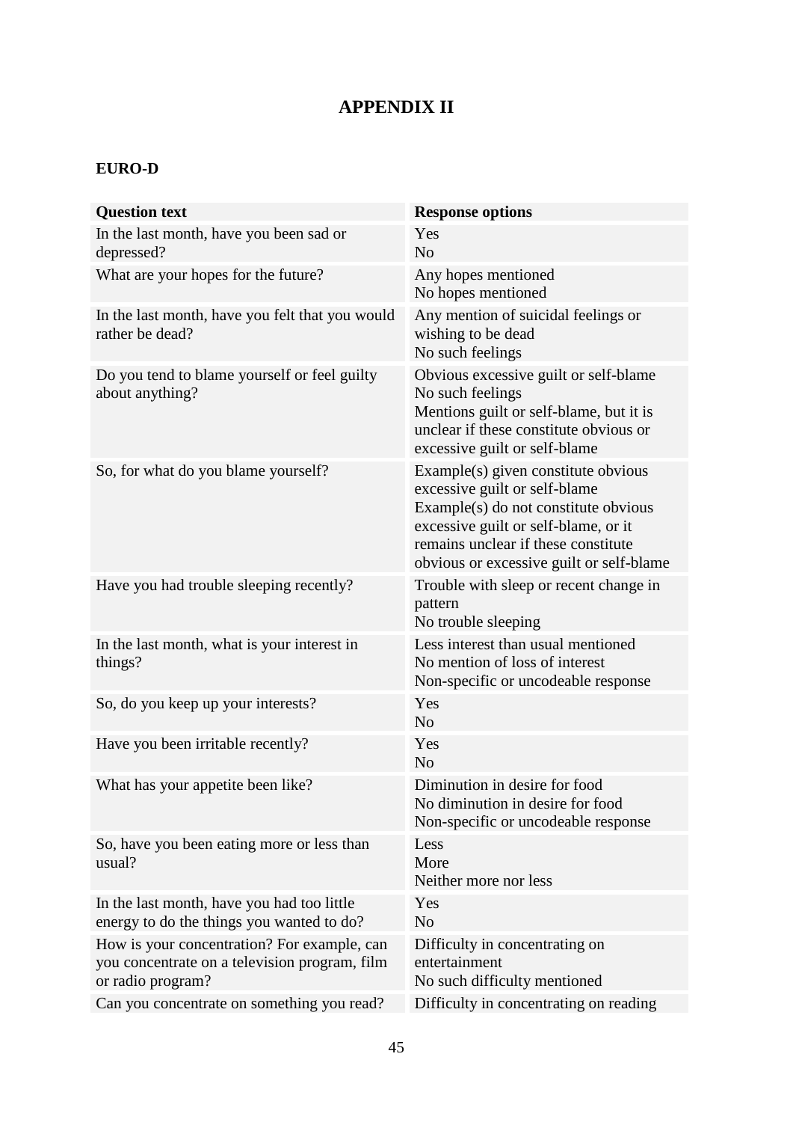# **APPENDIX II**

# **EURO-D**

| <b>Question text</b>                                                                                              | <b>Response options</b>                                                                                                                                                                                                                 |
|-------------------------------------------------------------------------------------------------------------------|-----------------------------------------------------------------------------------------------------------------------------------------------------------------------------------------------------------------------------------------|
| In the last month, have you been sad or<br>depressed?                                                             | Yes<br>N <sub>0</sub>                                                                                                                                                                                                                   |
| What are your hopes for the future?                                                                               | Any hopes mentioned<br>No hopes mentioned                                                                                                                                                                                               |
| In the last month, have you felt that you would<br>rather be dead?                                                | Any mention of suicidal feelings or<br>wishing to be dead<br>No such feelings                                                                                                                                                           |
| Do you tend to blame yourself or feel guilty<br>about anything?                                                   | Obvious excessive guilt or self-blame<br>No such feelings<br>Mentions guilt or self-blame, but it is<br>unclear if these constitute obvious or<br>excessive guilt or self-blame                                                         |
| So, for what do you blame yourself?                                                                               | Example(s) given constitute obvious<br>excessive guilt or self-blame<br>Example(s) do not constitute obvious<br>excessive guilt or self-blame, or it<br>remains unclear if these constitute<br>obvious or excessive guilt or self-blame |
| Have you had trouble sleeping recently?                                                                           | Trouble with sleep or recent change in<br>pattern<br>No trouble sleeping                                                                                                                                                                |
| In the last month, what is your interest in<br>things?                                                            | Less interest than usual mentioned<br>No mention of loss of interest<br>Non-specific or uncodeable response                                                                                                                             |
| So, do you keep up your interests?                                                                                | Yes<br>N <sub>o</sub>                                                                                                                                                                                                                   |
| Have you been irritable recently?                                                                                 | Yes<br>N <sub>o</sub>                                                                                                                                                                                                                   |
| What has your appetite been like?                                                                                 | Diminution in desire for food<br>No diminution in desire for food<br>Non-specific or uncodeable response                                                                                                                                |
| So, have you been eating more or less than<br>usual?                                                              | Less<br>More<br>Neither more nor less                                                                                                                                                                                                   |
| In the last month, have you had too little<br>energy to do the things you wanted to do?                           | Yes<br>N <sub>o</sub>                                                                                                                                                                                                                   |
| How is your concentration? For example, can<br>you concentrate on a television program, film<br>or radio program? | Difficulty in concentrating on<br>entertainment<br>No such difficulty mentioned                                                                                                                                                         |
| Can you concentrate on something you read?                                                                        | Difficulty in concentrating on reading                                                                                                                                                                                                  |